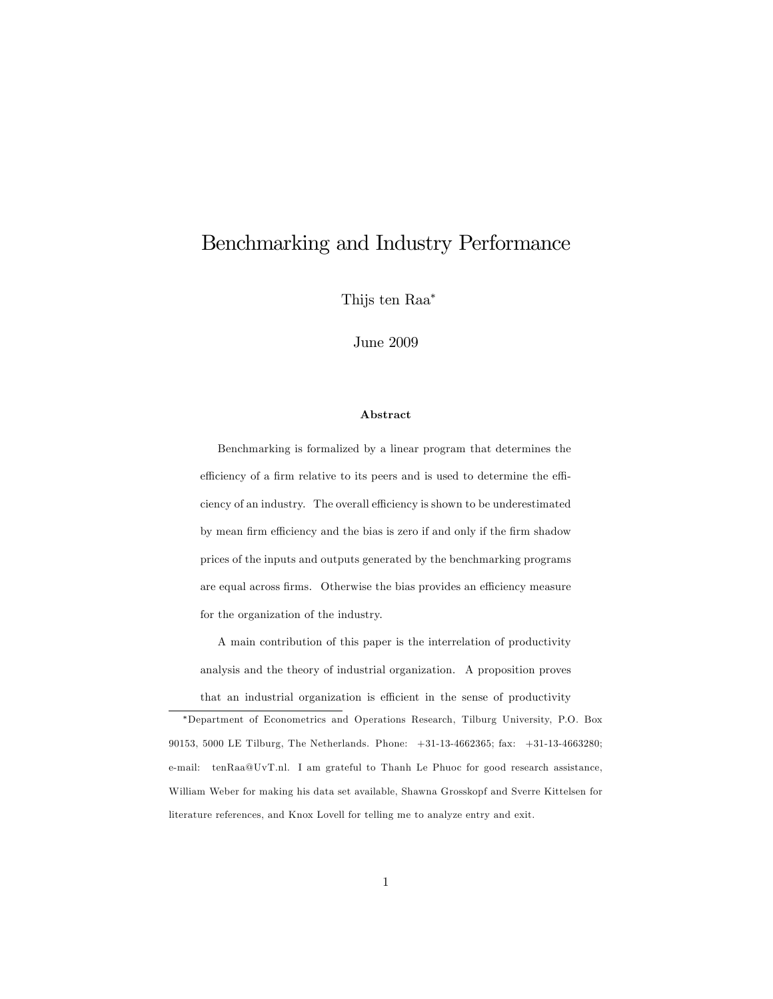## Benchmarking and Industry Performance

Thijs ten Raa

June 2009

#### Abstract

Benchmarking is formalized by a linear program that determines the efficiency of a firm relative to its peers and is used to determine the efficiency of an industry. The overall efficiency is shown to be underestimated by mean firm efficiency and the bias is zero if and only if the firm shadow prices of the inputs and outputs generated by the benchmarking programs are equal across firms. Otherwise the bias provides an efficiency measure for the organization of the industry.

A main contribution of this paper is the interrelation of productivity analysis and the theory of industrial organization. A proposition proves that an industrial organization is efficient in the sense of productivity

Department of Econometrics and Operations Research, Tilburg University, P.O. Box 90153, 5000 LE Tilburg, The Netherlands. Phone: +31-13-4662365; fax: +31-13-4663280; e-mail: tenRaa@UvT.nl. I am grateful to Thanh Le Phuoc for good research assistance, William Weber for making his data set available, Shawna Grosskopf and Sverre Kittelsen for literature references, and Knox Lovell for telling me to analyze entry and exit.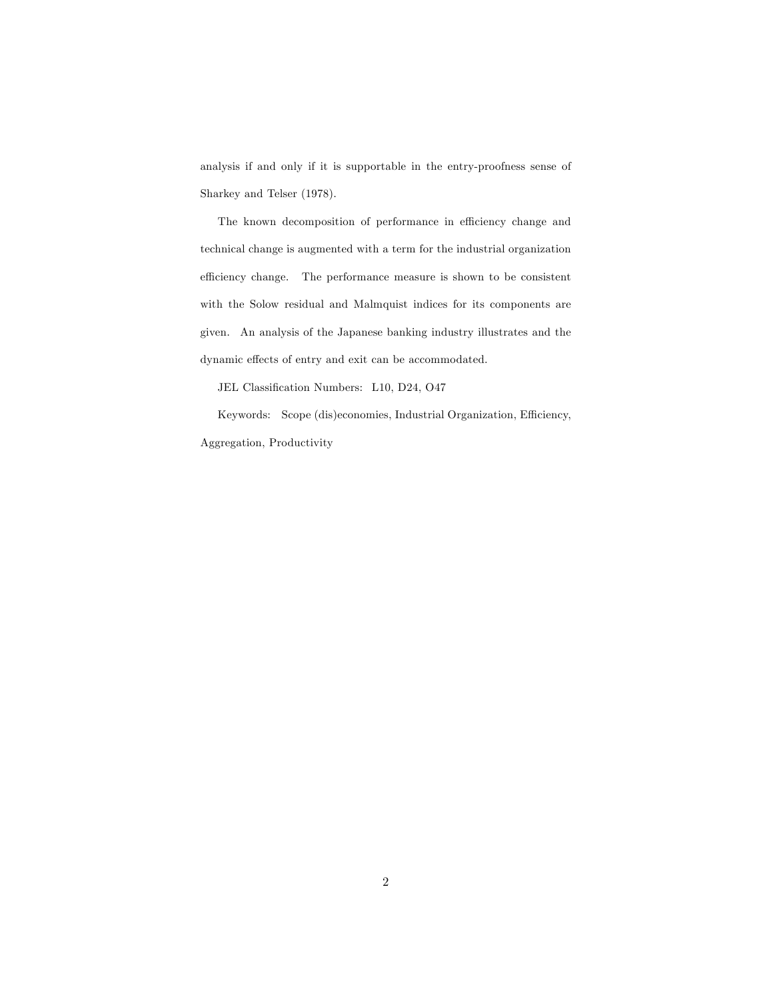analysis if and only if it is supportable in the entry-proofness sense of Sharkey and Telser (1978).

The known decomposition of performance in efficiency change and technical change is augmented with a term for the industrial organization efficiency change. The performance measure is shown to be consistent with the Solow residual and Malmquist indices for its components are given. An analysis of the Japanese banking industry illustrates and the dynamic effects of entry and exit can be accommodated.

JEL Classification Numbers: L10, D24, O47

Keywords: Scope (dis)economies, Industrial Organization, Efficiency, Aggregation, Productivity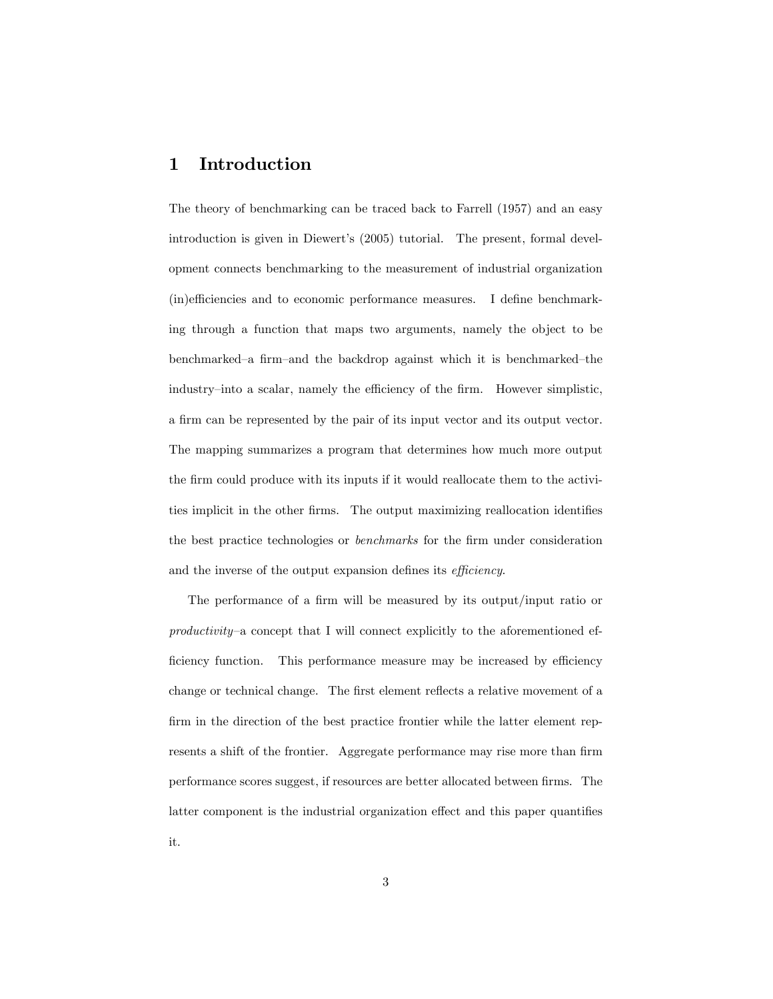### 1 Introduction

The theory of benchmarking can be traced back to Farrell (1957) and an easy introduction is given in Diewert's (2005) tutorial. The present, formal development connects benchmarking to the measurement of industrial organization  $(in)$ efficiencies and to economic performance measures. I define benchmarking through a function that maps two arguments, namely the object to be benchmarked–a firm–and the backdrop against which it is benchmarked–the industry–into a scalar, namely the efficiency of the firm. However simplistic, a Örm can be represented by the pair of its input vector and its output vector. The mapping summarizes a program that determines how much more output the firm could produce with its inputs if it would reallocate them to the activities implicit in the other firms. The output maximizing reallocation identifies the best practice technologies or *benchmarks* for the firm under consideration and the inverse of the output expansion defines its *efficiency*.

The performance of a firm will be measured by its output/input ratio or  $productivity$ -a concept that I will connect explicitly to the aforementioned efficiency function. This performance measure may be increased by efficiency change or technical change. The first element reflects a relative movement of a firm in the direction of the best practice frontier while the latter element represents a shift of the frontier. Aggregate performance may rise more than firm performance scores suggest, if resources are better allocated between firms. The latter component is the industrial organization effect and this paper quantifies it.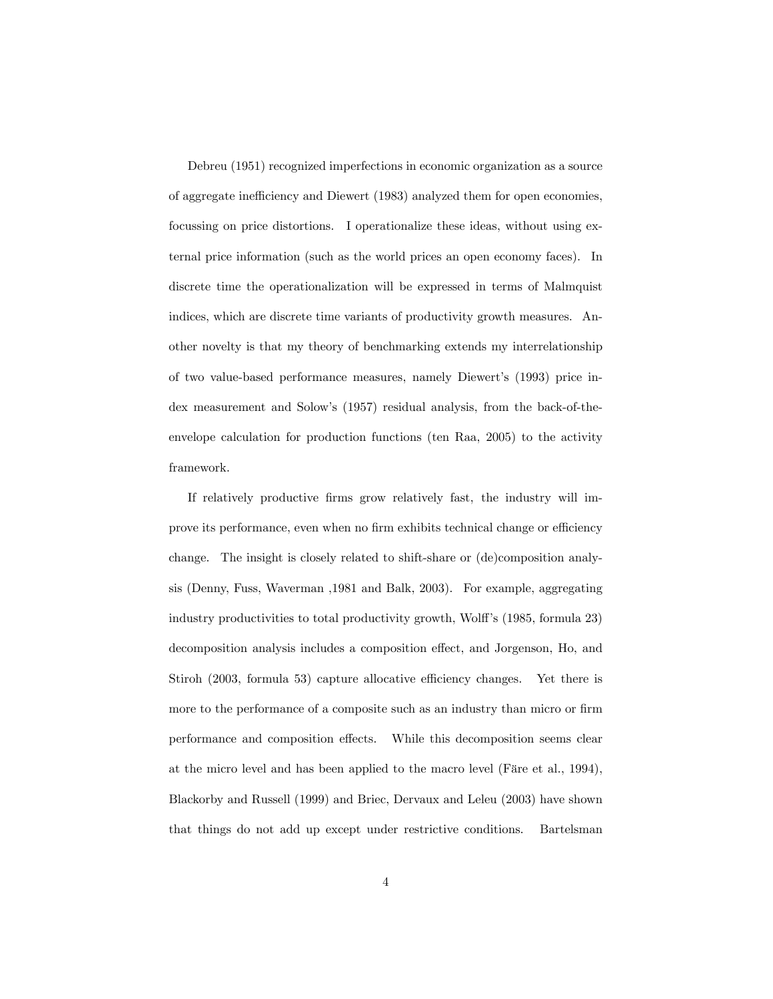Debreu (1951) recognized imperfections in economic organization as a source of aggregate inefficiency and Diewert (1983) analyzed them for open economies, focussing on price distortions. I operationalize these ideas, without using external price information (such as the world prices an open economy faces). In discrete time the operationalization will be expressed in terms of Malmquist indices, which are discrete time variants of productivity growth measures. Another novelty is that my theory of benchmarking extends my interrelationship of two value-based performance measures, namely Diewertís (1993) price index measurement and Solow's (1957) residual analysis, from the back-of-theenvelope calculation for production functions (ten Raa, 2005) to the activity framework.

If relatively productive Örms grow relatively fast, the industry will improve its performance, even when no firm exhibits technical change or efficiency change. The insight is closely related to shift-share or (de)composition analysis (Denny, Fuss, Waverman ,1981 and Balk, 2003). For example, aggregating industry productivities to total productivity growth, Wolff's (1985, formula 23) decomposition analysis includes a composition effect, and Jorgenson, Ho, and Stiroh (2003, formula 53) capture allocative efficiency changes. Yet there is more to the performance of a composite such as an industry than micro or firm performance and composition effects. While this decomposition seems clear at the micro level and has been applied to the macro level (Färe et al., 1994), Blackorby and Russell (1999) and Briec, Dervaux and Leleu (2003) have shown that things do not add up except under restrictive conditions. Bartelsman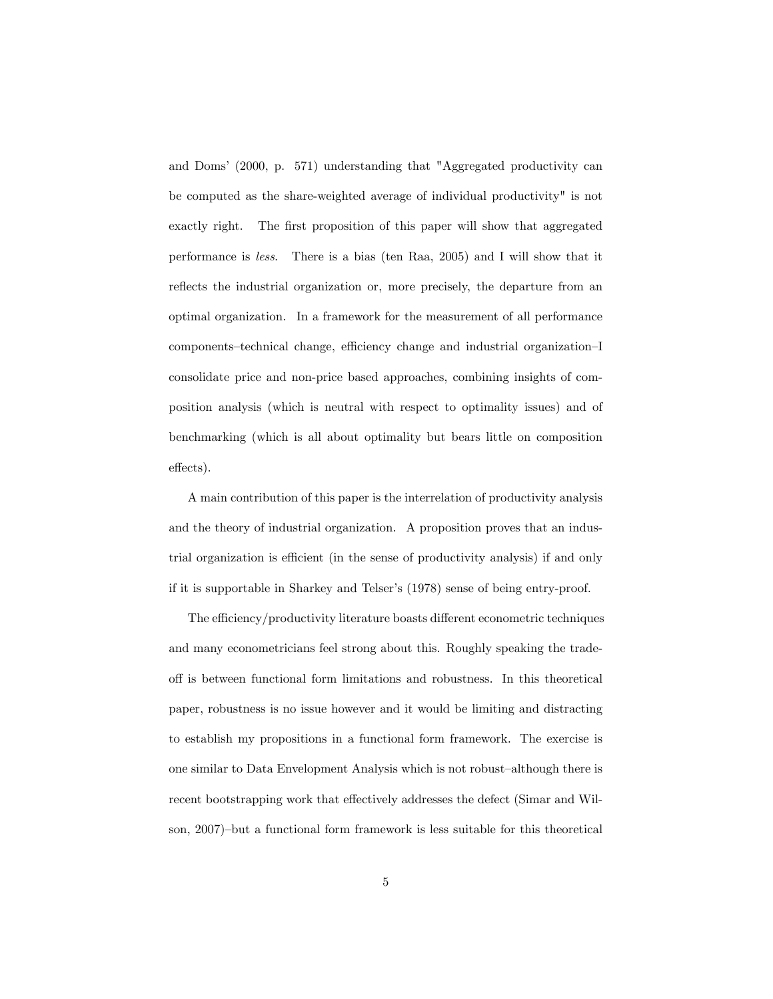and Domsí (2000, p. 571) understanding that "Aggregated productivity can be computed as the share-weighted average of individual productivity" is not exactly right. The first proposition of this paper will show that aggregated performance is less. There is a bias (ten Raa, 2005) and I will show that it reflects the industrial organization or, more precisely, the departure from an optimal organization. In a framework for the measurement of all performance components-technical change, efficiency change and industrial organization-I consolidate price and non-price based approaches, combining insights of composition analysis (which is neutral with respect to optimality issues) and of benchmarking (which is all about optimality but bears little on composition effects).

A main contribution of this paper is the interrelation of productivity analysis and the theory of industrial organization. A proposition proves that an industrial organization is efficient (in the sense of productivity analysis) if and only if it is supportable in Sharkey and Telser's (1978) sense of being entry-proof.

The efficiency/productivity literature boasts different econometric techniques and many econometricians feel strong about this. Roughly speaking the tradeo§ is between functional form limitations and robustness. In this theoretical paper, robustness is no issue however and it would be limiting and distracting to establish my propositions in a functional form framework. The exercise is one similar to Data Envelopment Analysis which is not robust-although there is recent bootstrapping work that effectively addresses the defect (Simar and Wilson, 2007)–but a functional form framework is less suitable for this theoretical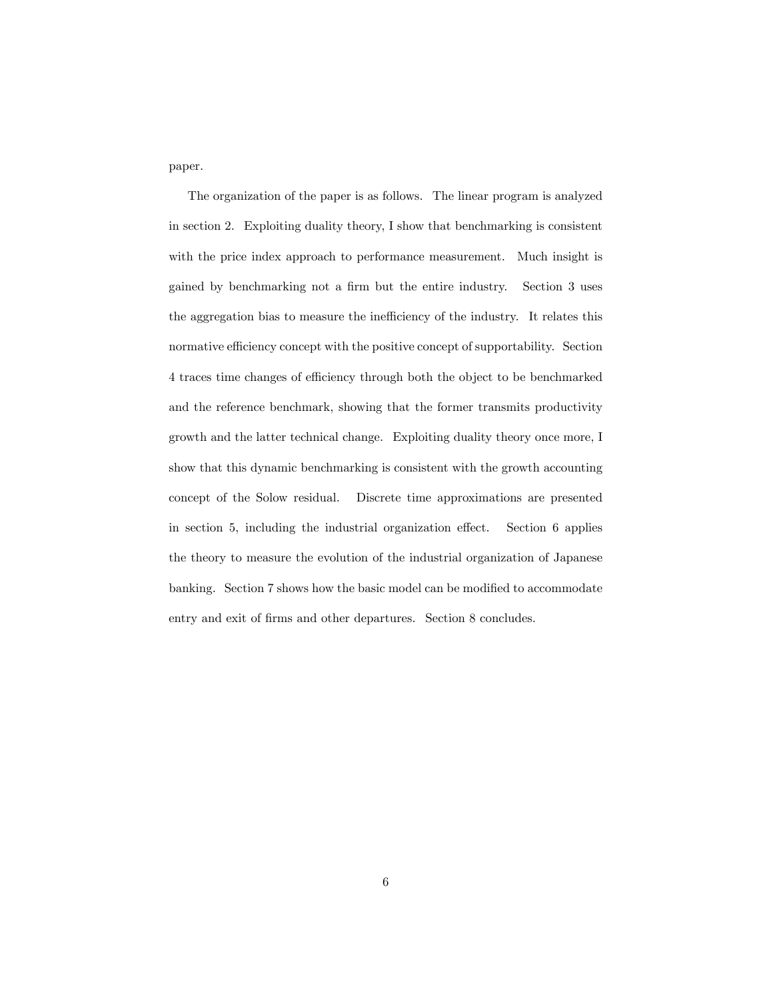paper.

The organization of the paper is as follows. The linear program is analyzed in section 2. Exploiting duality theory, I show that benchmarking is consistent with the price index approach to performance measurement. Much insight is gained by benchmarking not a firm but the entire industry. Section 3 uses the aggregation bias to measure the inefficiency of the industry. It relates this normative efficiency concept with the positive concept of supportability. Section 4 traces time changes of efficiency through both the object to be benchmarked and the reference benchmark, showing that the former transmits productivity growth and the latter technical change. Exploiting duality theory once more, I show that this dynamic benchmarking is consistent with the growth accounting concept of the Solow residual. Discrete time approximations are presented in section 5, including the industrial organization effect. Section 6 applies the theory to measure the evolution of the industrial organization of Japanese banking. Section 7 shows how the basic model can be modified to accommodate entry and exit of firms and other departures. Section 8 concludes.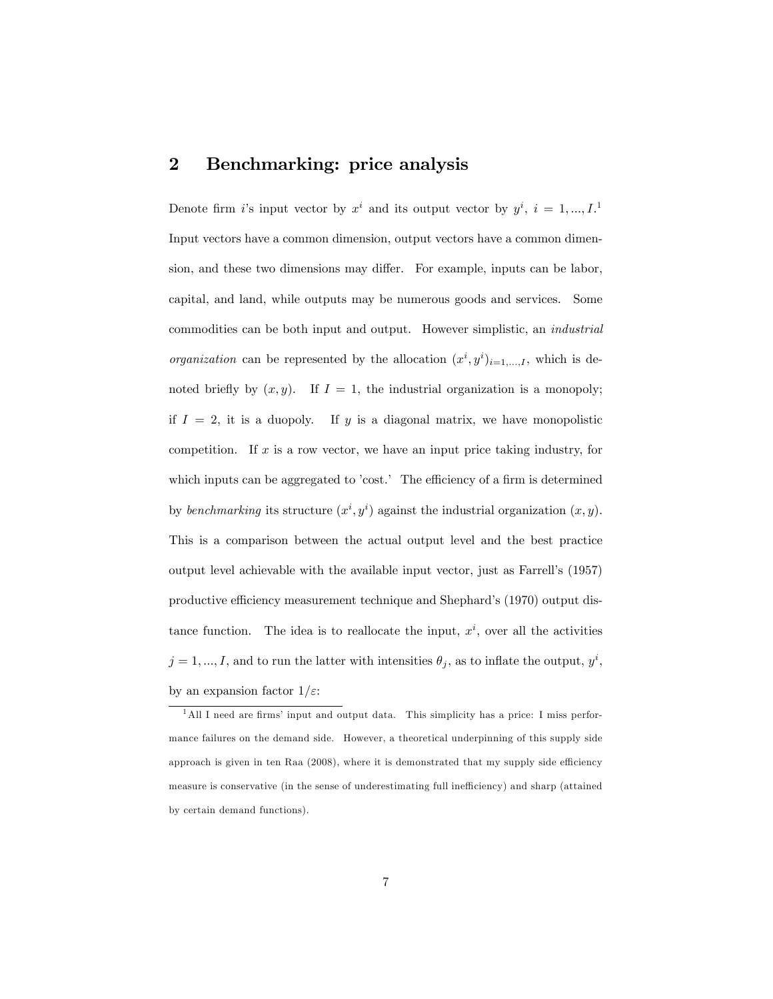#### 2 Benchmarking: price analysis

Denote firm i's input vector by  $x^i$  and its output vector by  $y^i$ ,  $i = 1, ..., I$ <sup>1</sup> Input vectors have a common dimension, output vectors have a common dimension, and these two dimensions may differ. For example, inputs can be labor, capital, and land, while outputs may be numerous goods and services. Some commodities can be both input and output. However simplistic, an industrial *organization* can be represented by the allocation  $(x^i, y^i)_{i=1,\dots,I}$ , which is denoted briefly by  $(x, y)$ . If  $I = 1$ , the industrial organization is a monopoly; if  $I = 2$ , it is a duopoly. If y is a diagonal matrix, we have monopolistic competition. If  $x$  is a row vector, we have an input price taking industry, for which inputs can be aggregated to 'cost.' The efficiency of a firm is determined by benchmarking its structure  $(x^i, y^i)$  against the industrial organization  $(x, y)$ . This is a comparison between the actual output level and the best practice output level achievable with the available input vector, just as Farrellís (1957) productive efficiency measurement technique and Shephard's (1970) output distance function. The idea is to reallocate the input,  $x^i$ , over all the activities  $j = 1, ..., I$ , and to run the latter with intensities  $\theta_j$ , as to inflate the output,  $y^i$ , by an expansion factor  $1/\varepsilon$ :

 $1$ All I need are firms' input and output data. This simplicity has a price: I miss performance failures on the demand side. However, a theoretical underpinning of this supply side approach is given in ten Raa  $(2008)$ , where it is demonstrated that my supply side efficiency measure is conservative (in the sense of underestimating full inefficiency) and sharp (attained by certain demand functions).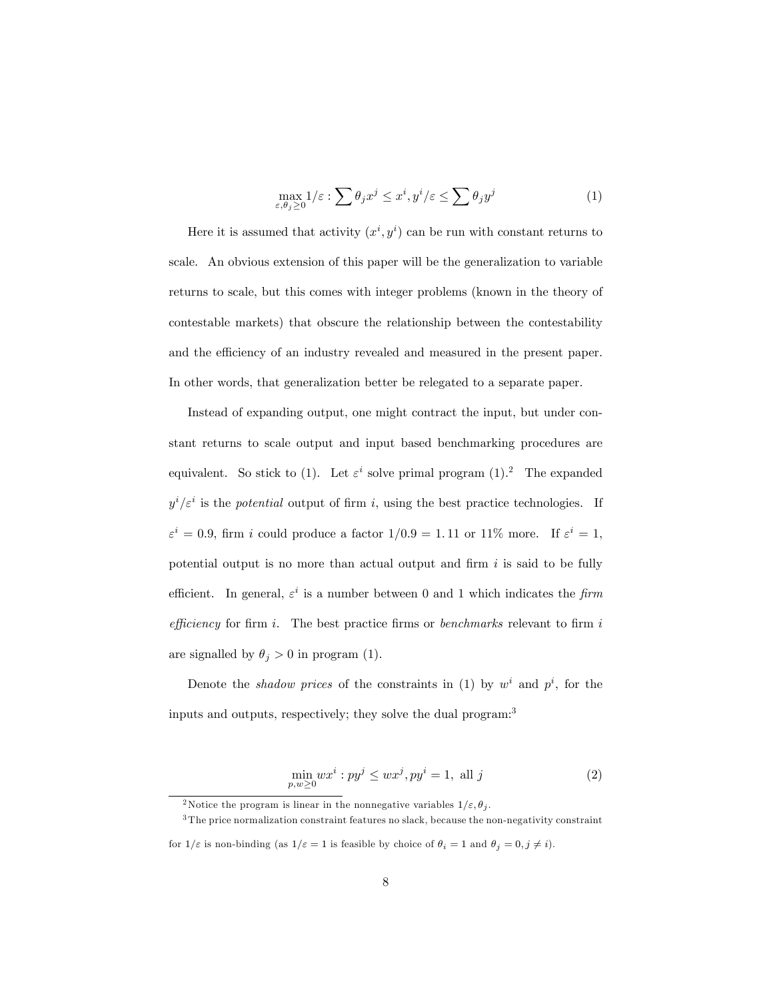$$
\max_{\varepsilon,\theta_j\geq 0} 1/\varepsilon : \sum \theta_j x^j \leq x^i, y^i/\varepsilon \leq \sum \theta_j y^j \tag{1}
$$

Here it is assumed that activity  $(x^i, y^i)$  can be run with constant returns to scale. An obvious extension of this paper will be the generalization to variable returns to scale, but this comes with integer problems (known in the theory of contestable markets) that obscure the relationship between the contestability and the efficiency of an industry revealed and measured in the present paper. In other words, that generalization better be relegated to a separate paper.

Instead of expanding output, one might contract the input, but under constant returns to scale output and input based benchmarking procedures are equivalent. So stick to (1). Let  $\varepsilon^i$  solve primal program (1).<sup>2</sup> The expanded  $y^i/\varepsilon^i$  is the potential output of firm i, using the best practice technologies. If  $\varepsilon^i = 0.9$ , firm i could produce a factor  $1/0.9 = 1.11$  or  $11\%$  more. If  $\varepsilon^i = 1$ , potential output is no more than actual output and firm  $i$  is said to be fully efficient. In general,  $\varepsilon^i$  is a number between 0 and 1 which indicates the firm efficiency for firm i. The best practice firms or benchmarks relevant to firm i are signalled by  $\theta_j > 0$  in program (1).

Denote the *shadow prices* of the constraints in (1) by  $w^i$  and  $p^i$ , for the inputs and outputs, respectively; they solve the dual program:<sup>3</sup>

$$
\min_{p,w \ge 0} wx^i : py^j \le wx^j, py^i = 1, \text{ all } j \tag{2}
$$

<sup>&</sup>lt;sup>2</sup>Notice the program is linear in the nonnegative variables  $1/\varepsilon$ ,  $\theta_i$ .

<sup>3</sup> The price normalization constraint features no slack, because the non-negativity constraint

for  $1/\varepsilon$  is non-binding (as  $1/\varepsilon = 1$  is feasible by choice of  $\theta_i = 1$  and  $\theta_j = 0, j \neq i$ ).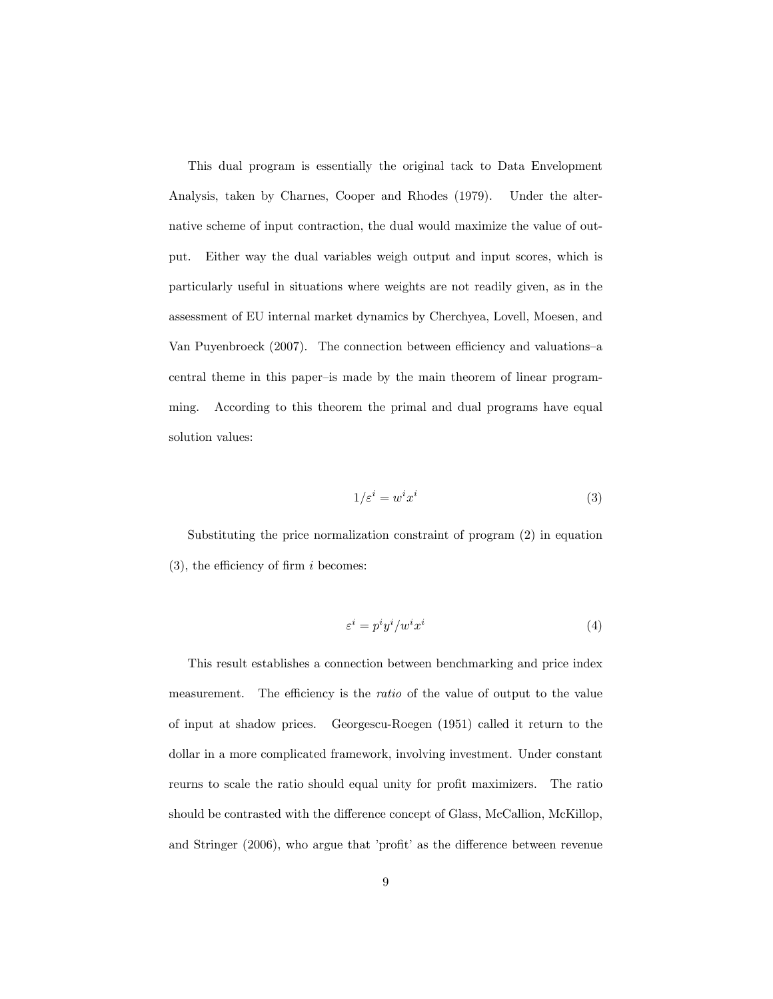This dual program is essentially the original tack to Data Envelopment Analysis, taken by Charnes, Cooper and Rhodes (1979). Under the alternative scheme of input contraction, the dual would maximize the value of output. Either way the dual variables weigh output and input scores, which is particularly useful in situations where weights are not readily given, as in the assessment of EU internal market dynamics by Cherchyea, Lovell, Moesen, and Van Puyenbroeck (2007). The connection between efficiency and valuations–a central theme in this paper-is made by the main theorem of linear programming. According to this theorem the primal and dual programs have equal solution values:

$$
1/\varepsilon^i = w^i x^i \tag{3}
$$

Substituting the price normalization constraint of program (2) in equation  $(3)$ , the efficiency of firm i becomes:

$$
\varepsilon^i = p^i y^i / w^i x^i \tag{4}
$$

This result establishes a connection between benchmarking and price index measurement. The efficiency is the *ratio* of the value of output to the value of input at shadow prices. Georgescu-Roegen (1951) called it return to the dollar in a more complicated framework, involving investment. Under constant reurns to scale the ratio should equal unity for profit maximizers. The ratio should be contrasted with the difference concept of Glass, McCallion, McKillop, and Stringer (2006), who argue that 'profit' as the difference between revenue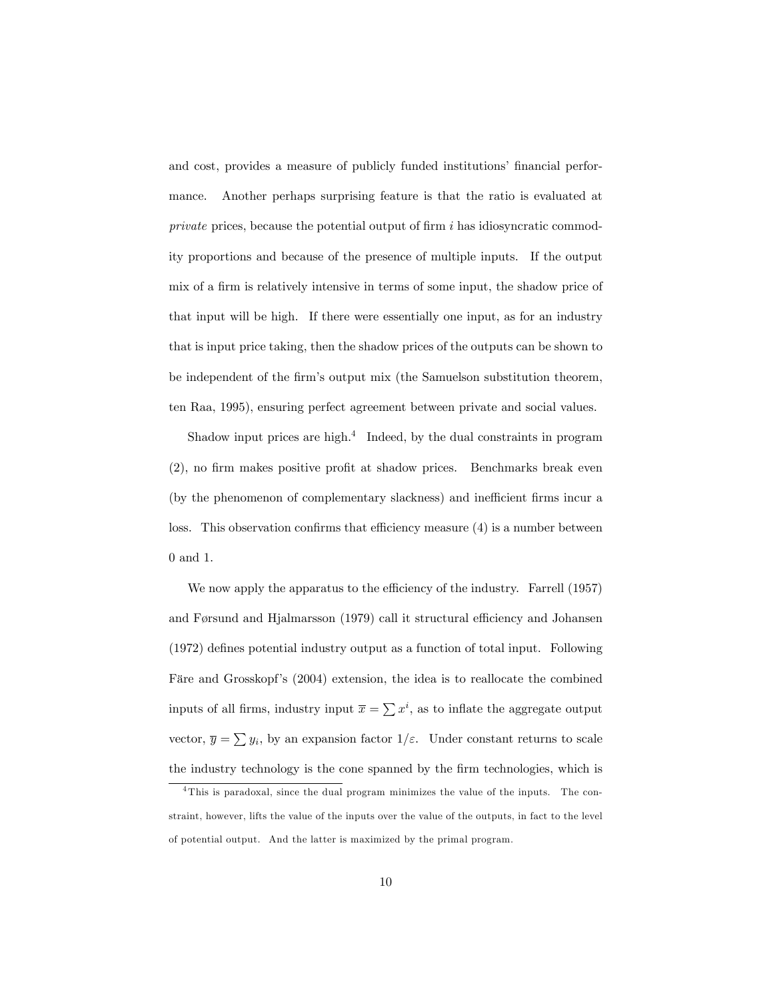and cost, provides a measure of publicly funded institutions' financial performance. Another perhaps surprising feature is that the ratio is evaluated at private prices, because the potential output of firm  $i$  has idiosyncratic commodity proportions and because of the presence of multiple inputs. If the output mix of a firm is relatively intensive in terms of some input, the shadow price of that input will be high. If there were essentially one input, as for an industry that is input price taking, then the shadow prices of the outputs can be shown to be independent of the Örmís output mix (the Samuelson substitution theorem, ten Raa, 1995), ensuring perfect agreement between private and social values.

Shadow input prices are high. $<sup>4</sup>$  Indeed, by the dual constraints in program</sup>  $(2)$ , no firm makes positive profit at shadow prices. Benchmarks break even (by the phenomenon of complementary slackness) and inefficient firms incur a loss. This observation confirms that efficiency measure  $(4)$  is a number between 0 and 1.

We now apply the apparatus to the efficiency of the industry. Farrell (1957) and Førsund and Hjalmarsson  $(1979)$  call it structural efficiency and Johansen  $(1972)$  defines potential industry output as a function of total input. Following Färe and Grosskopf's (2004) extension, the idea is to reallocate the combined inputs of all firms, industry input  $\bar{x} = \sum x^{i}$ , as to inflate the aggregate output vector,  $\overline{y} = \sum y_i$ , by an expansion factor  $1/\varepsilon$ . Under constant returns to scale the industry technology is the cone spanned by the firm technologies, which is

<sup>4</sup> This is paradoxal, since the dual program minimizes the value of the inputs. The constraint, however, lifts the value of the inputs over the value of the outputs, in fact to the level of potential output. And the latter is maximized by the primal program.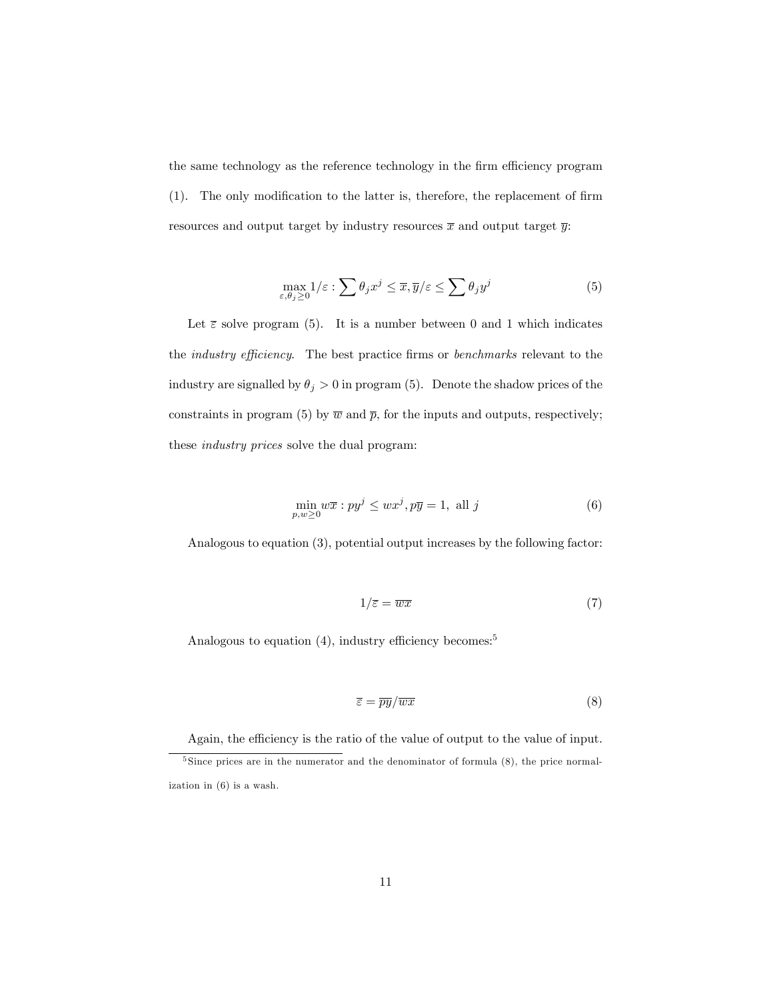the same technology as the reference technology in the firm efficiency program  $(1)$ . The only modification to the latter is, therefore, the replacement of firm resources and output target by industry resources  $\bar{x}$  and output target  $\bar{y}$ :

$$
\max_{\varepsilon,\theta_j\geq 0} 1/\varepsilon : \sum \theta_j x^j \leq \overline{x}, \overline{y}/\varepsilon \leq \sum \theta_j y^j \tag{5}
$$

Let  $\bar{\varepsilon}$  solve program (5). It is a number between 0 and 1 which indicates the *industry efficiency*. The best practice firms or *benchmarks* relevant to the industry are signalled by  $\theta_j > 0$  in program (5). Denote the shadow prices of the constraints in program (5) by  $\overline{w}$  and  $\overline{p}$ , for the inputs and outputs, respectively; these industry prices solve the dual program:

$$
\min_{p,w\geq 0} w\overline{x} : py^j \leq wx^j, p\overline{y} = 1, \text{ all } j \tag{6}
$$

Analogous to equation (3), potential output increases by the following factor:

$$
1/\overline{\varepsilon} = \overline{wx} \tag{7}
$$

Analogous to equation  $(4)$ , industry efficiency becomes:<sup>5</sup>

$$
\overline{\varepsilon} = \overline{py}/\overline{wx} \tag{8}
$$

Again, the efficiency is the ratio of the value of output to the value of input.

<sup>&</sup>lt;sup>5</sup> Since prices are in the numerator and the denominator of formula (8), the price normalization in (6) is a wash.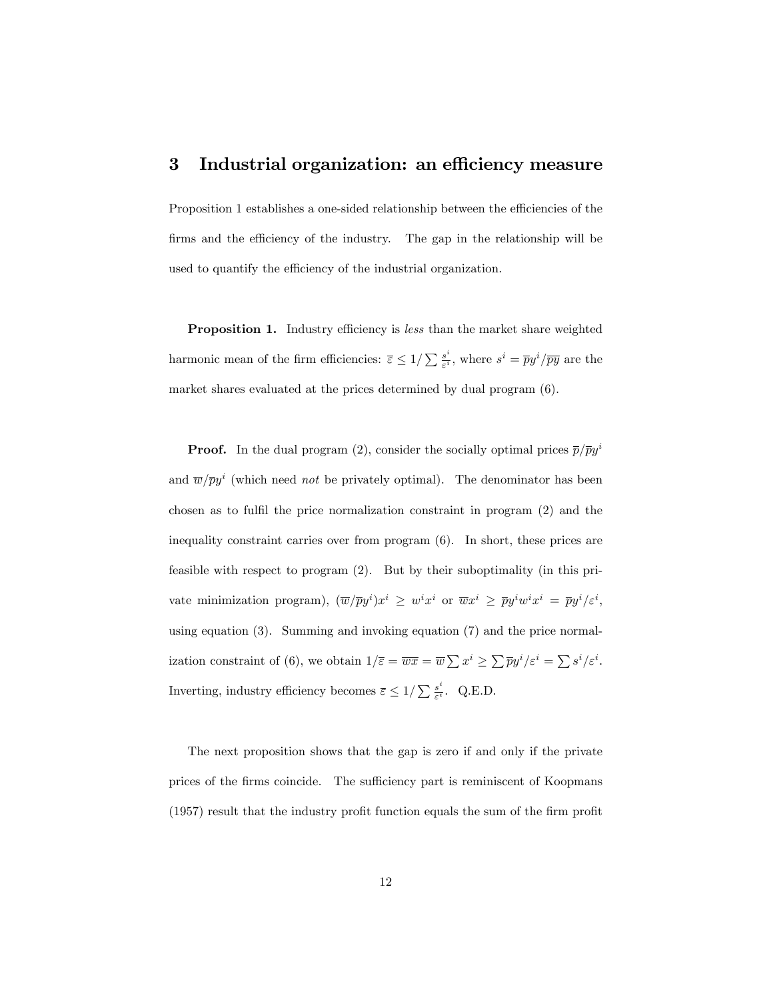#### 3 Industrial organization: an efficiency measure

Proposition 1 establishes a one-sided relationship between the efficiencies of the firms and the efficiency of the industry. The gap in the relationship will be used to quantify the efficiency of the industrial organization.

**Proposition 1.** Industry efficiency is *less* than the market share weighted harmonic mean of the firm efficiencies:  $\bar{\varepsilon} \leq 1/\sum \frac{s^i}{\varepsilon^i}$  $\frac{s^i}{\varepsilon^i}$ , where  $s^i = \overline{p}y^i/\overline{py}$  are the market shares evaluated at the prices determined by dual program (6).

**Proof.** In the dual program (2), consider the socially optimal prices  $\bar{p}/\bar{p}y^i$ and  $\overline{w}/\overline{p}y^i$  (which need *not* be privately optimal). The denominator has been chosen as to fulfil the price normalization constraint in program  $(2)$  and the inequality constraint carries over from program (6). In short, these prices are feasible with respect to program (2). But by their suboptimality (in this private minimization program),  $(\overline{w}/\overline{p}y^i)x^i \geq w^ix^i$  or  $\overline{w}x^i \geq \overline{p}y^iw^ix^i = \overline{p}y^i/\varepsilon^i$ , using equation (3). Summing and invoking equation (7) and the price normalization constraint of (6), we obtain  $1/\overline{\varepsilon} = \overline{wx} = \overline{w} \sum x^i \ge \sum \overline{p} y^i / \varepsilon^i = \sum s^i / \varepsilon^i$ . Inverting, industry efficiency becomes  $\overline{\varepsilon} \leq 1/\sum \frac{s^i}{\varepsilon^i}$  $\frac{s^2}{\varepsilon^i}$ . Q.E.D.

The next proposition shows that the gap is zero if and only if the private prices of the firms coincide. The sufficiency part is reminiscent of Koopmans  $(1957)$  result that the industry profit function equals the sum of the firm profit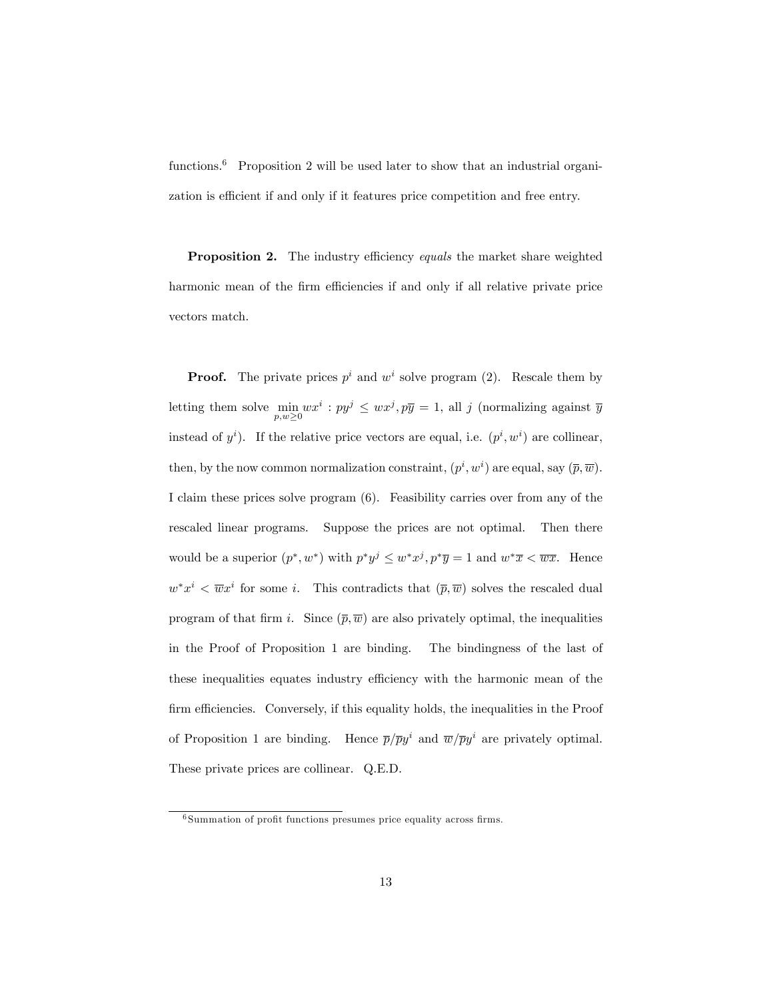functions.<sup>6</sup> Proposition 2 will be used later to show that an industrial organization is efficient if and only if it features price competition and free entry.

**Proposition 2.** The industry efficiency equals the market share weighted harmonic mean of the firm efficiencies if and only if all relative private price vectors match.

**Proof.** The private prices  $p^i$  and  $w^i$  solve program (2). Rescale them by letting them solve min  $p,w\geq0$  $wx^i: py^j \leq wx^j, p\overline{y} = 1$ , all j (normalizing against  $\overline{y}$ ) instead of  $y^i$ ). If the relative price vectors are equal, i.e.  $(p^i, w^i)$  are collinear, then, by the now common normalization constraint,  $(p^i, w^i)$  are equal, say  $(\overline{p}, \overline{w})$ . I claim these prices solve program (6). Feasibility carries over from any of the rescaled linear programs. Suppose the prices are not optimal. Then there would be a superior  $(p^*, w^*)$  with  $p^*y^j \leq w^*x^j$ ,  $p^*\overline{y} = 1$  and  $w^*\overline{x} < \overline{wx}$ . Hence  $w^*x^i < \overline{w}x^i$  for some *i*. This contradicts that  $(\overline{p}, \overline{w})$  solves the rescaled dual program of that firm i. Since  $(\overline{p}, \overline{w})$  are also privately optimal, the inequalities in the Proof of Proposition 1 are binding. The bindingness of the last of these inequalities equates industry efficiency with the harmonic mean of the firm efficiencies. Conversely, if this equality holds, the inequalities in the Proof of Proposition 1 are binding. Hence  $\bar{p}/\bar{p}y^i$  and  $\bar{w}/\bar{p}y^i$  are privately optimal. These private prices are collinear. Q.E.D.

 $6$  Summation of profit functions presumes price equality across firms.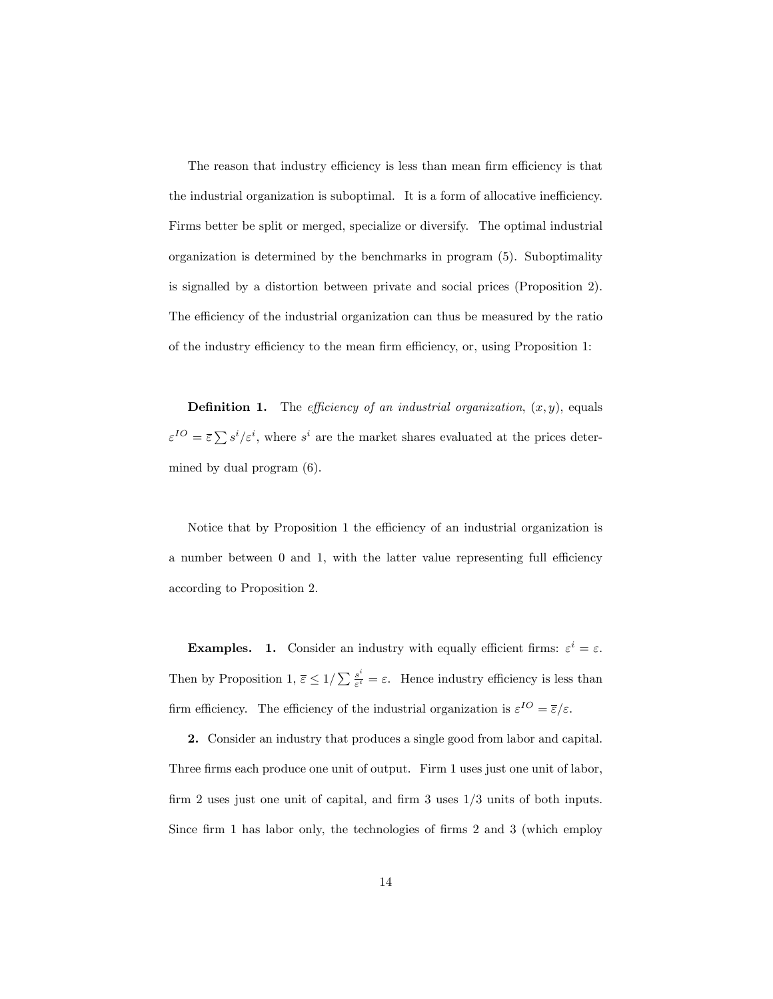The reason that industry efficiency is less than mean firm efficiency is that the industrial organization is suboptimal. It is a form of allocative inefficiency. Firms better be split or merged, specialize or diversify. The optimal industrial organization is determined by the benchmarks in program (5). Suboptimality is signalled by a distortion between private and social prices (Proposition 2). The efficiency of the industrial organization can thus be measured by the ratio of the industry efficiency to the mean firm efficiency, or, using Proposition 1:

**Definition 1.** The *efficiency of an industrial organization*,  $(x, y)$ , equals  $\varepsilon^{IO} = \overline{\varepsilon} \sum s^i/\varepsilon^i$ , where  $s^i$  are the market shares evaluated at the prices determined by dual program (6).

Notice that by Proposition 1 the efficiency of an industrial organization is a number between  $0$  and  $1$ , with the latter value representing full efficiency according to Proposition 2.

**Examples.** 1. Consider an industry with equally efficient firms:  $\varepsilon^i = \varepsilon$ . Then by Proposition 1,  $\overline{\varepsilon} \leq 1/\sum \frac{s^i}{\varepsilon^i}$  $\frac{s^*}{\varepsilon^i} = \varepsilon$ . Hence industry efficiency is less than firm efficiency. The efficiency of the industrial organization is  $\varepsilon^{IO} = \overline{\varepsilon}/\varepsilon$ .

2. Consider an industry that produces a single good from labor and capital. Three firms each produce one unit of output. Firm 1 uses just one unit of labor, firm 2 uses just one unit of capital, and firm 3 uses  $1/3$  units of both inputs. Since firm 1 has labor only, the technologies of firms  $2$  and  $3$  (which employ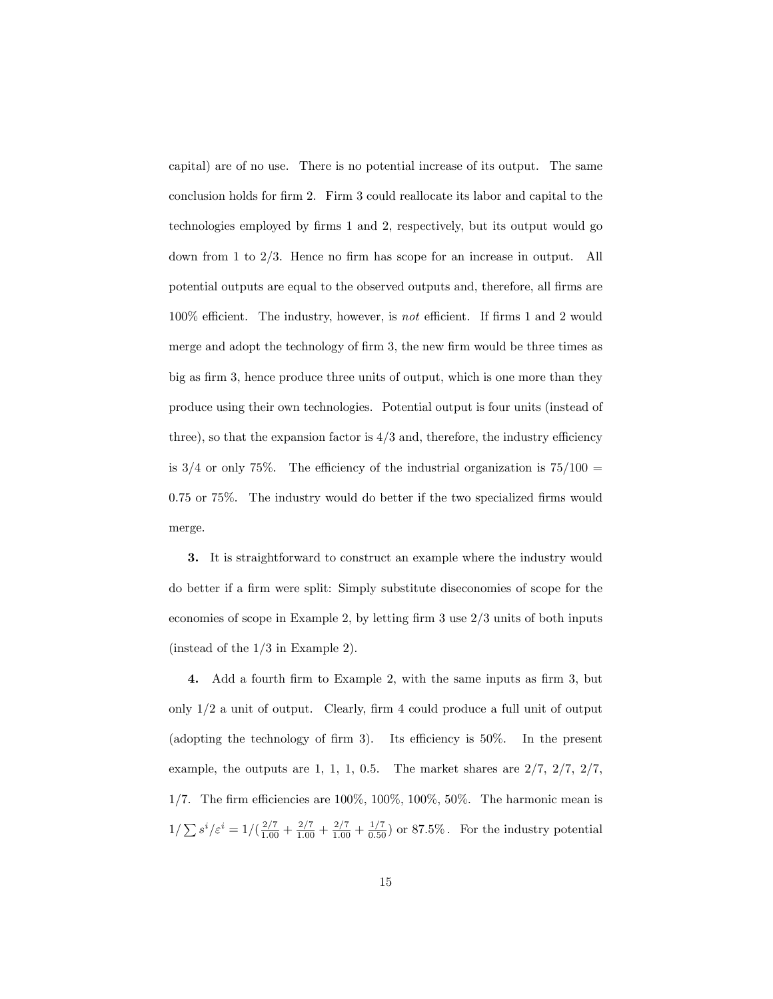capital) are of no use. There is no potential increase of its output. The same conclusion holds for firm 2. Firm 3 could reallocate its labor and capital to the technologies employed by firms 1 and 2, respectively, but its output would go down from 1 to  $2/3$ . Hence no firm has scope for an increase in output. All potential outputs are equal to the observed outputs and, therefore, all Örms are  $100\%$  efficient. The industry, however, is not efficient. If firms 1 and 2 would merge and adopt the technology of firm 3, the new firm would be three times as big as firm 3, hence produce three units of output, which is one more than they produce using their own technologies. Potential output is four units (instead of three), so that the expansion factor is  $4/3$  and, therefore, the industry efficiency is  $3/4$  or only 75%. The efficiency of the industrial organization is  $75/100 =$  $0.75$  or  $75\%$ . The industry would do better if the two specialized firms would merge.

3. It is straightforward to construct an example where the industry would do better if a firm were split: Simply substitute diseconomies of scope for the economies of scope in Example 2, by letting firm  $3$  use  $2/3$  units of both inputs (instead of the 1/3 in Example 2).

4. Add a fourth firm to Example 2, with the same inputs as firm 3, but only  $1/2$  a unit of output. Clearly, firm 4 could produce a full unit of output (adopting the technology of firm 3). Its efficiency is  $50\%$ . In the present example, the outputs are 1, 1, 1, 0.5. The market shares are 2/7, 2/7, 2/7, 1/7. The firm efficiencies are  $100\%$ ,  $100\%$ ,  $100\%$ ,  $50\%$ . The harmonic mean is  $1/\sum s^i/\varepsilon^i = 1/(\frac{2/7}{1.00} + \frac{2/7}{1.00} + \frac{2/7}{1.00} + \frac{1/7}{0.50})$  or 87.5%. For the industry potential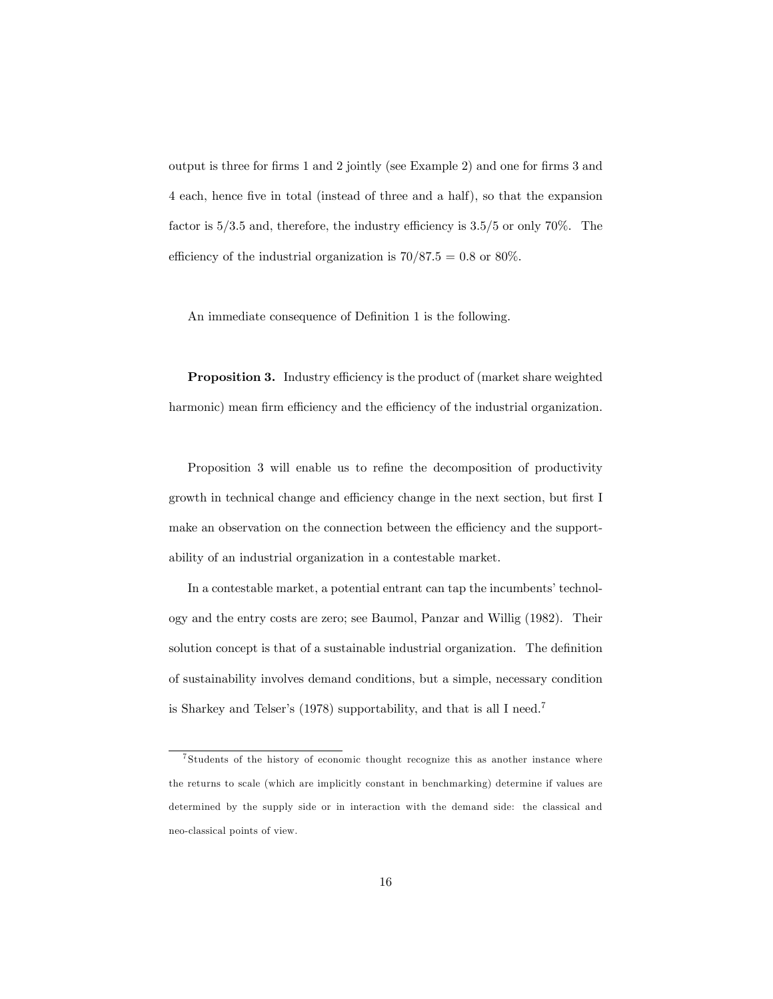output is three for firms 1 and 2 jointly (see Example 2) and one for firms 3 and 4 each, hence Öve in total (instead of three and a half), so that the expansion factor is  $5/3.5$  and, therefore, the industry efficiency is  $3.5/5$  or only 70%. The efficiency of the industrial organization is  $70/87.5 = 0.8$  or  $80\%$ .

An immediate consequence of Definition 1 is the following.

**Proposition 3.** Industry efficiency is the product of (market share weighted harmonic) mean firm efficiency and the efficiency of the industrial organization.

Proposition 3 will enable us to refine the decomposition of productivity growth in technical change and efficiency change in the next section, but first I make an observation on the connection between the efficiency and the supportability of an industrial organization in a contestable market.

In a contestable market, a potential entrant can tap the incumbents' technology and the entry costs are zero; see Baumol, Panzar and Willig (1982). Their solution concept is that of a sustainable industrial organization. The definition of sustainability involves demand conditions, but a simple, necessary condition is Sharkey and Telser's (1978) supportability, and that is all I need.<sup>7</sup>

<sup>7</sup> Students of the history of economic thought recognize this as another instance where the returns to scale (which are implicitly constant in benchmarking) determine if values are determined by the supply side or in interaction with the demand side: the classical and neo-classical points of view.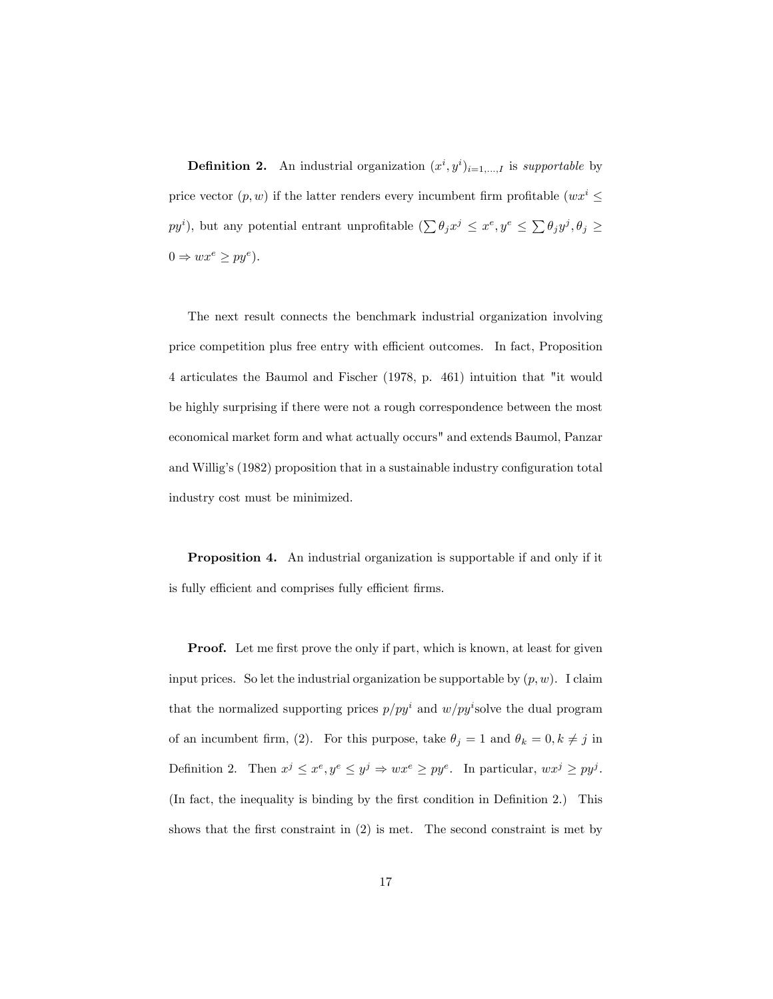**Definition 2.** An industrial organization  $(x^i, y^i)_{i=1,...,I}$  is supportable by price vector  $(p, w)$  if the latter renders every incumbent firm profitable  $(wx^i \leq$  $py^i$ ), but any potential entrant unprofitable  $(\sum \theta_j x^j \leq x^e, y^e \leq \sum \theta_j y^j, \theta_j \geq$  $0 \Rightarrow wx^e \ge py^e$ ).

The next result connects the benchmark industrial organization involving price competition plus free entry with efficient outcomes. In fact, Proposition 4 articulates the Baumol and Fischer (1978, p. 461) intuition that "it would be highly surprising if there were not a rough correspondence between the most economical market form and what actually occurs" and extends Baumol, Panzar and Willig's  $(1982)$  proposition that in a sustainable industry configuration total industry cost must be minimized.

Proposition 4. An industrial organization is supportable if and only if it is fully efficient and comprises fully efficient firms.

**Proof.** Let me first prove the only if part, which is known, at least for given input prices. So let the industrial organization be supportable by  $(p, w)$ . I claim that the normalized supporting prices  $p/py^i$  and  $w/py^i$ solve the dual program of an incumbent firm, (2). For this purpose, take  $\theta_j = 1$  and  $\theta_k = 0, k \neq j$  in Definition 2. Then  $x^j \le x^e, y^e \le y^j \Rightarrow wx^e \ge py^e$ . In particular,  $wx^j \ge py^j$ . (In fact, the inequality is binding by the first condition in Definition 2.) This shows that the first constraint in  $(2)$  is met. The second constraint is met by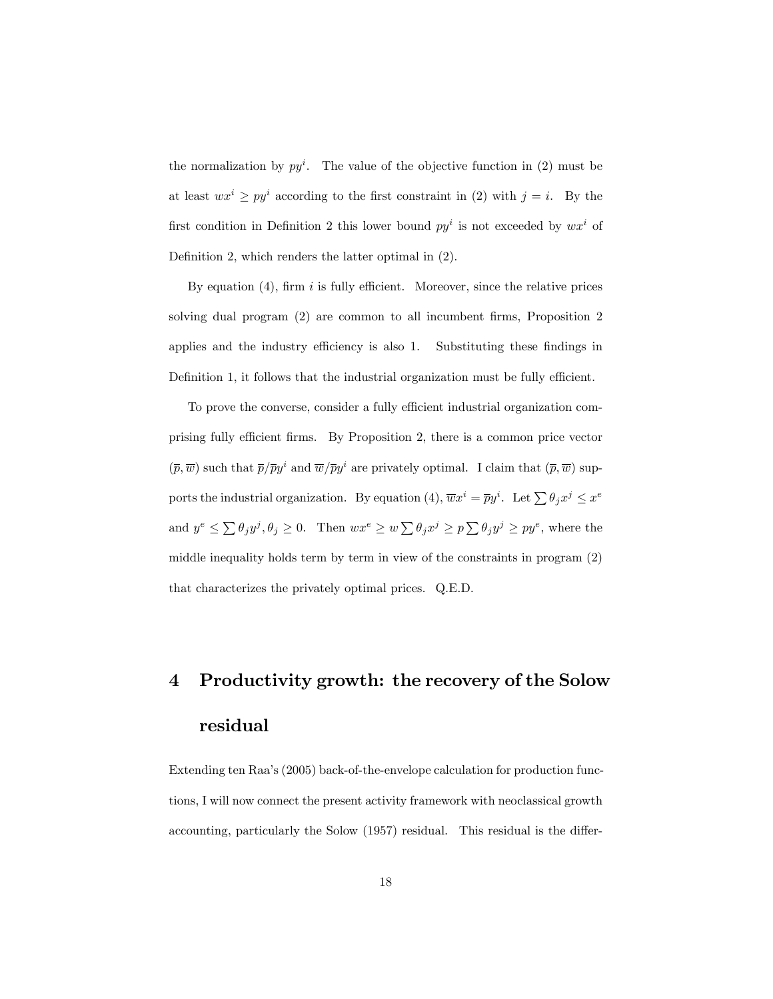the normalization by  $py^i$ . The value of the objective function in (2) must be at least  $wx^i \geq py^i$  according to the first constraint in (2) with  $j = i$ . By the first condition in Definition 2 this lower bound  $py<sup>i</sup>$  is not exceeded by  $wx<sup>i</sup>$  of Definition 2, which renders the latter optimal in  $(2)$ .

By equation  $(4)$ , firm i is fully efficient. Moreover, since the relative prices solving dual program  $(2)$  are common to all incumbent firms, Proposition 2 applies and the industry efficiency is also 1. Substituting these findings in Definition 1, it follows that the industrial organization must be fully efficient.

To prove the converse, consider a fully efficient industrial organization comprising fully efficient firms. By Proposition 2, there is a common price vector  $(\bar{p}, \bar{w})$  such that  $\bar{p}/\bar{p}y^i$  and  $\bar{w}/\bar{p}y^i$  are privately optimal. I claim that  $(\bar{p}, \bar{w})$  supports the industrial organization. By equation (4),  $\overline{w}x^i = \overline{p}y^i$ . Let  $\sum \theta_j x^j \leq x^e$ and  $y^e \le \sum \theta_j y^j, \theta_j \ge 0$ . Then  $wx^e \ge w \sum \theta_j x^j \ge p \sum \theta_j y^j \ge py^e$ , where the middle inequality holds term by term in view of the constraints in program (2) that characterizes the privately optimal prices. Q.E.D.

# 4 Productivity growth: the recovery of the Solow residual

Extending ten Raa's (2005) back-of-the-envelope calculation for production functions, I will now connect the present activity framework with neoclassical growth accounting, particularly the Solow  $(1957)$  residual. This residual is the differ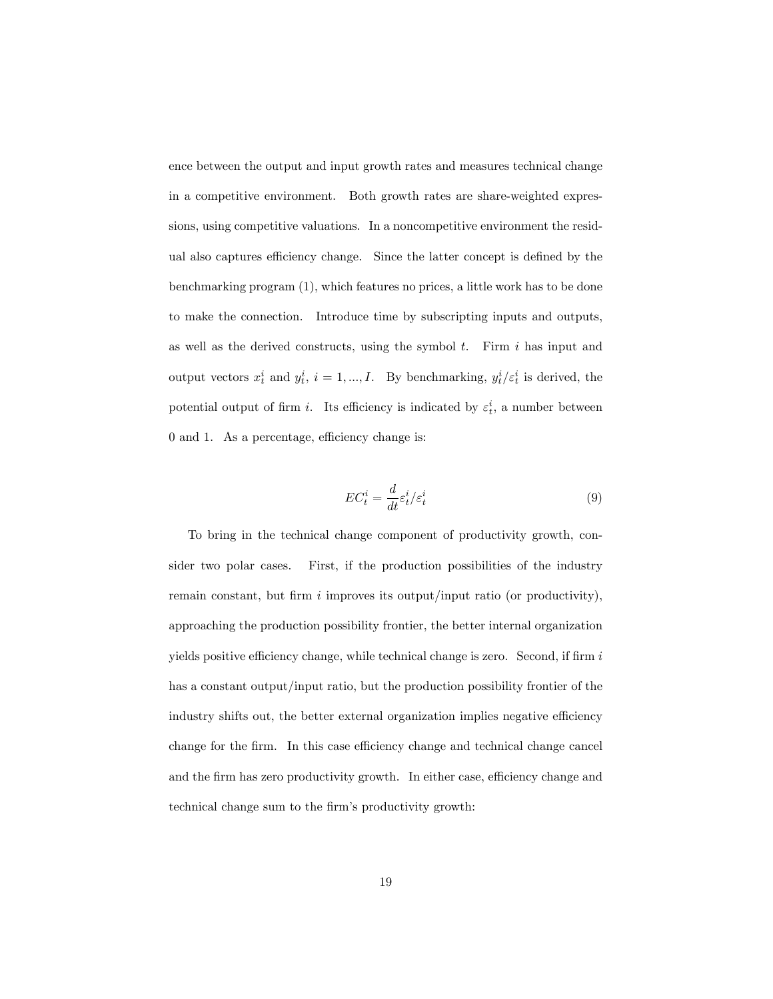ence between the output and input growth rates and measures technical change in a competitive environment. Both growth rates are share-weighted expressions, using competitive valuations. In a noncompetitive environment the residual also captures efficiency change. Since the latter concept is defined by the benchmarking program (1), which features no prices, a little work has to be done to make the connection. Introduce time by subscripting inputs and outputs, as well as the derived constructs, using the symbol  $t$ . Firm  $i$  has input and output vectors  $x_t^i$  and  $y_t^i$ ,  $i = 1, ..., I$ . By benchmarking,  $y_t^i / \varepsilon_t^i$  is derived, the potential output of firm *i*. Its efficiency is indicated by  $\varepsilon_t^i$ , a number between  $0$  and  $1$ . As a percentage, efficiency change is:

$$
EC_t^i = \frac{d}{dt} \varepsilon_t^i / \varepsilon_t^i \tag{9}
$$

To bring in the technical change component of productivity growth, consider two polar cases. First, if the production possibilities of the industry remain constant, but firm  $i$  improves its output/input ratio (or productivity), approaching the production possibility frontier, the better internal organization yields positive efficiency change, while technical change is zero. Second, if firm  $i$ has a constant output/input ratio, but the production possibility frontier of the industry shifts out, the better external organization implies negative efficiency change for the firm. In this case efficiency change and technical change cancel and the firm has zero productivity growth. In either case, efficiency change and technical change sum to the firm's productivity growth: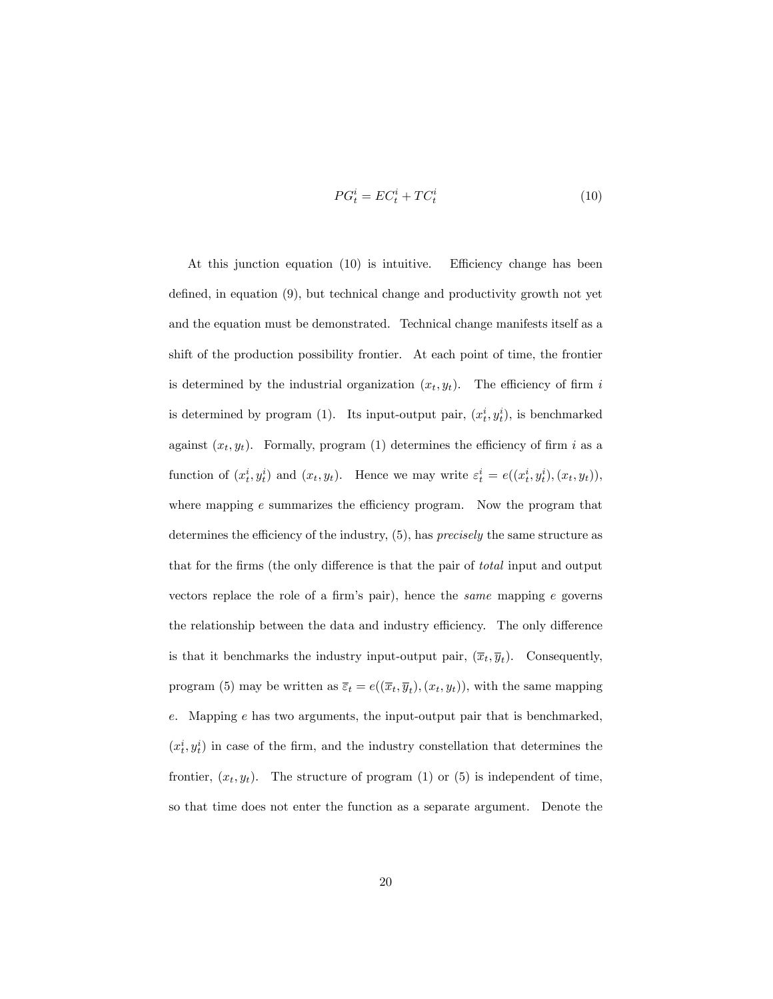$$
PG_t^i = EC_t^i + TC_t^i \tag{10}
$$

At this junction equation  $(10)$  is intuitive. Efficiency change has been defined, in equation  $(9)$ , but technical change and productivity growth not yet and the equation must be demonstrated. Technical change manifests itself as a shift of the production possibility frontier. At each point of time, the frontier is determined by the industrial organization  $(x_t, y_t)$ . The efficiency of firm i is determined by program (1). Its input-output pair,  $(x_t^i, y_t^i)$ , is benchmarked against  $(x_t, y_t)$ . Formally, program (1) determines the efficiency of firm i as a function of  $(x_t^i, y_t^i)$  and  $(x_t, y_t)$ . Hence we may write  $\varepsilon_t^i = e((x_t^i, y_t^i), (x_t, y_t)),$ where mapping  $e$  summarizes the efficiency program. Now the program that determines the efficiency of the industry,  $(5)$ , has *precisely* the same structure as that for the firms (the only difference is that the pair of *total* input and output vectors replace the role of a firm's pair), hence the *same* mapping  $e$  governs the relationship between the data and industry efficiency. The only difference is that it benchmarks the industry input-output pair,  $(\overline{x}_t, \overline{y}_t)$ . Consequently, program (5) may be written as  $\overline{\varepsilon}_t = e((\overline{x}_t, \overline{y}_t), (x_t, y_t)),$  with the same mapping e. Mapping e has two arguments, the input-output pair that is benchmarked,  $(x_t^i, y_t^i)$  in case of the firm, and the industry constellation that determines the frontier,  $(x_t, y_t)$ . The structure of program (1) or (5) is independent of time, so that time does not enter the function as a separate argument. Denote the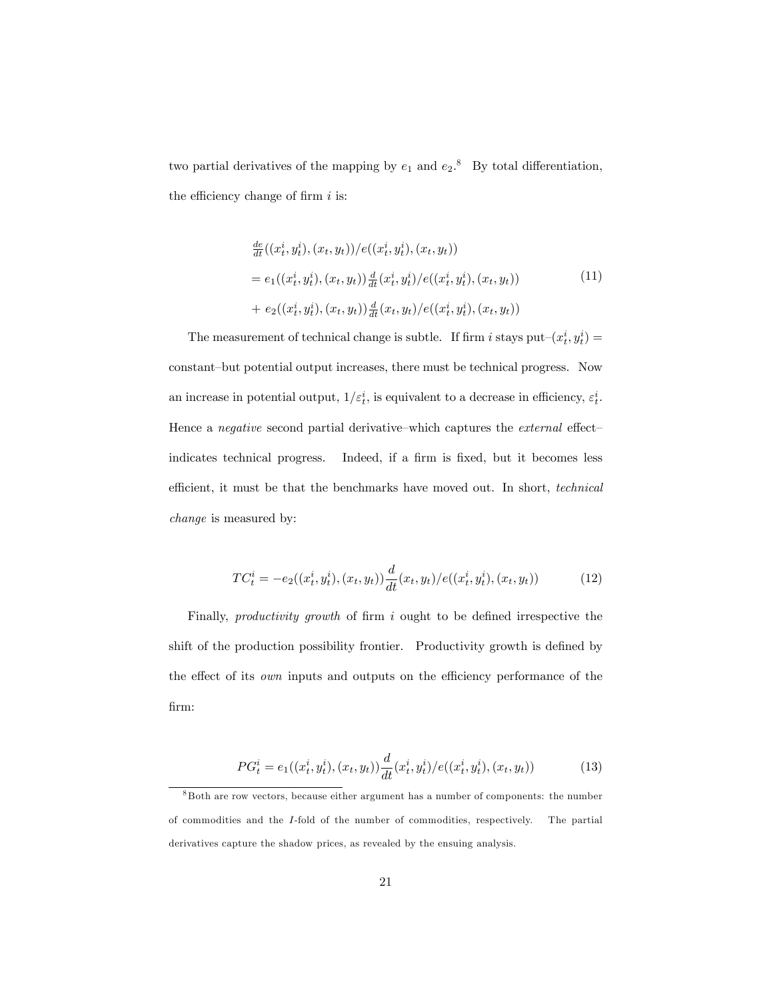two partial derivatives of the mapping by  $e_1$  and  $e_2$ .<sup>8</sup> By total differentiation, the efficiency change of firm  $i$  is:

$$
\frac{de}{dt}((x_t^i, y_t^i), (x_t, y_t))/e((x_t^i, y_t^i), (x_t, y_t))
$$
\n
$$
= e_1((x_t^i, y_t^i), (x_t, y_t)) \frac{d}{dt}(x_t^i, y_t^i)/e((x_t^i, y_t^i), (x_t, y_t))
$$
\n
$$
+ e_2((x_t^i, y_t^i), (x_t, y_t)) \frac{d}{dt}(x_t, y_t)/e((x_t^i, y_t^i), (x_t, y_t))
$$
\n(11)

The measurement of technical change is subtle. If firm i stays put $-(x_t^i, y_t^i) =$ constant-but potential output increases, there must be technical progress. Now an increase in potential output,  $1/\varepsilon_t^i$ , is equivalent to a decrease in efficiency,  $\varepsilon_t^i$ . Hence a *negative* second partial derivative—which captures the *external* effect indicates technical progress. Indeed, if a firm is fixed, but it becomes less efficient, it must be that the benchmarks have moved out. In short, *technical* change is measured by:

$$
TC_t^i = -e_2((x_t^i, y_t^i), (x_t, y_t))\frac{d}{dt}(x_t, y_t)/e((x_t^i, y_t^i), (x_t, y_t))
$$
(12)

Finally, *productivity growth* of firm  $i$  ought to be defined irrespective the shift of the production possibility frontier. Productivity growth is defined by the effect of its *own* inputs and outputs on the efficiency performance of the firm:

$$
PG_t^i = e_1((x_t^i, y_t^i), (x_t, y_t)) \frac{d}{dt}(x_t^i, y_t^i) / e((x_t^i, y_t^i), (x_t, y_t))
$$
\n(13)

<sup>8</sup> Both are row vectors, because either argument has a number of components: the number of commodities and the I-fold of the number of commodities, respectively. The partial derivatives capture the shadow prices, as revealed by the ensuing analysis.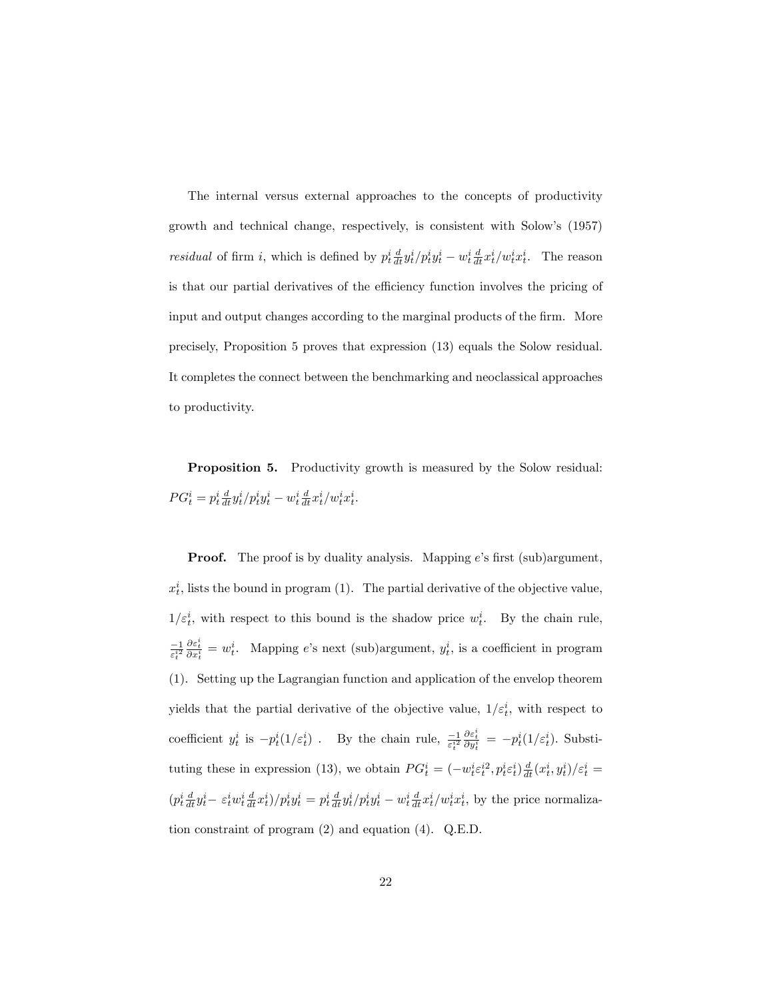The internal versus external approaches to the concepts of productivity growth and technical change, respectively, is consistent with Solowís (1957) residual of firm i, which is defined by  $p_t^i \frac{d}{dt} y_t^i / p_t^i y_t^i - w_t^i \frac{d}{dt} x_t^i / w_t^i x_t^i$ . The reason is that our partial derivatives of the efficiency function involves the pricing of input and output changes according to the marginal products of the firm. More precisely, Proposition 5 proves that expression (13) equals the Solow residual. It completes the connect between the benchmarking and neoclassical approaches to productivity.

Proposition 5. Productivity growth is measured by the Solow residual:  $PG_t^i = p_t^i \frac{d}{dt} y_t^i / p_t^i y_t^i - w_t^i \frac{d}{dt} x_t^i / w_t^i x_t^i.$ 

**Proof.** The proof is by duality analysis. Mapping e's first (sub)argument,  $x_t^i$ , lists the bound in program (1). The partial derivative of the objective value,  $1/\varepsilon_t^i$ , with respect to this bound is the shadow price  $w_t^i$ . By the chain rule,  $\frac{-1}{\varepsilon_t^{i2}}$  $\frac{\partial \varepsilon_i^i}{\partial x_i^i} = w_t^i$ . Mapping e's next (sub)argument,  $y_t^i$ , is a coefficient in program (1). Setting up the Lagrangian function and application of the envelop theorem yields that the partial derivative of the objective value,  $1/\varepsilon_t^i$ , with respect to coefficient  $y_t^i$  is  $-p_t^i(1/\varepsilon_t^i)$ . By the chain rule,  $\frac{-1}{\varepsilon_t^{i^2}}$  $\frac{\partial \varepsilon_t^i}{\partial y_t^i} = -p_t^i(1/\varepsilon_t^i)$ . Substituting these in expression (13), we obtain  $PG_t^i = (-w_t^i \varepsilon_t^{i2}, p_t^i \varepsilon_t^i) \frac{d}{dt}(x_t^i, y_t^i)/\varepsilon_t^i =$  $(p_t^i \frac{d}{dt} y_t^i - \varepsilon_t^i w_t^i \frac{d}{dt} x_t^i)/p_t^i y_t^i = p_t^i \frac{d}{dt} y_t^i/p_t^i y_t^i - w_t^i \frac{d}{dt} x_t^i/w_t^i x_t^i$ , by the price normalization constraint of program (2) and equation (4). Q.E.D.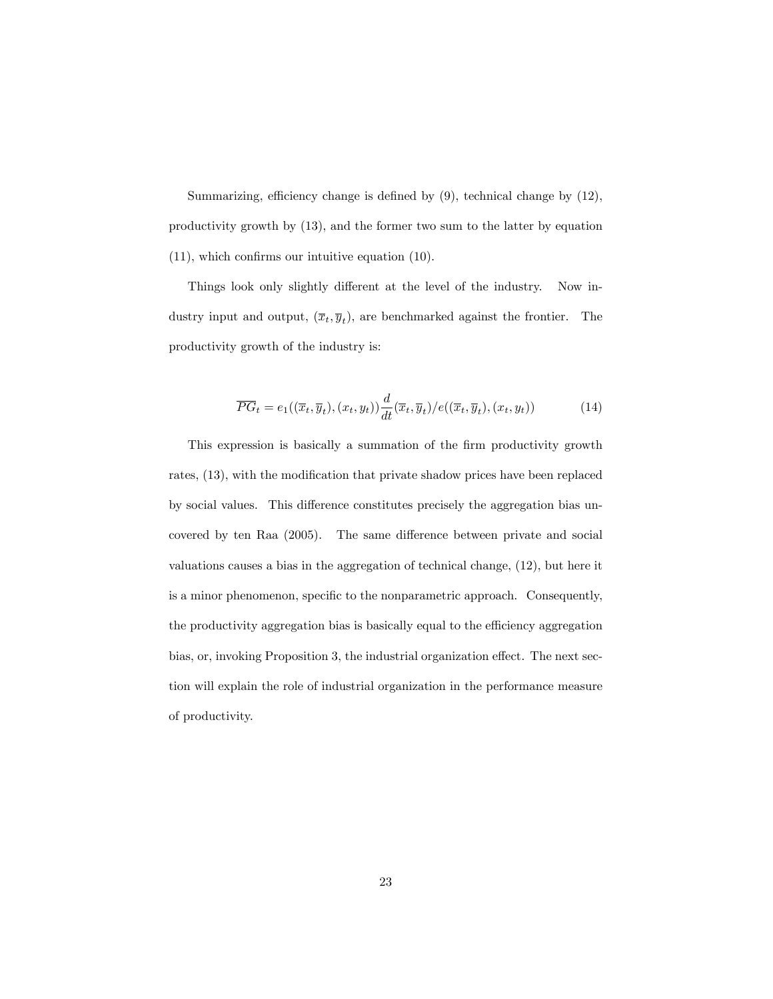Summarizing, efficiency change is defined by  $(9)$ , technical change by  $(12)$ , productivity growth by (13), and the former two sum to the latter by equation  $(11)$ , which confirms our intuitive equation  $(10)$ .

Things look only slightly different at the level of the industry. Now industry input and output,  $(\overline{x}_t, \overline{y}_t)$ , are benchmarked against the frontier. The productivity growth of the industry is:

$$
\overline{PG}_t = e_1((\overline{x}_t, \overline{y}_t), (x_t, y_t)) \frac{d}{dt} (\overline{x}_t, \overline{y}_t) / e((\overline{x}_t, \overline{y}_t), (x_t, y_t))
$$
\n(14)

This expression is basically a summation of the Örm productivity growth rates,  $(13)$ , with the modification that private shadow prices have been replaced by social values. This difference constitutes precisely the aggregation bias uncovered by ten Raa  $(2005)$ . The same difference between private and social valuations causes a bias in the aggregation of technical change, (12), but here it is a minor phenomenon, specific to the nonparametric approach. Consequently, the productivity aggregation bias is basically equal to the efficiency aggregation bias, or, invoking Proposition 3, the industrial organization effect. The next section will explain the role of industrial organization in the performance measure of productivity.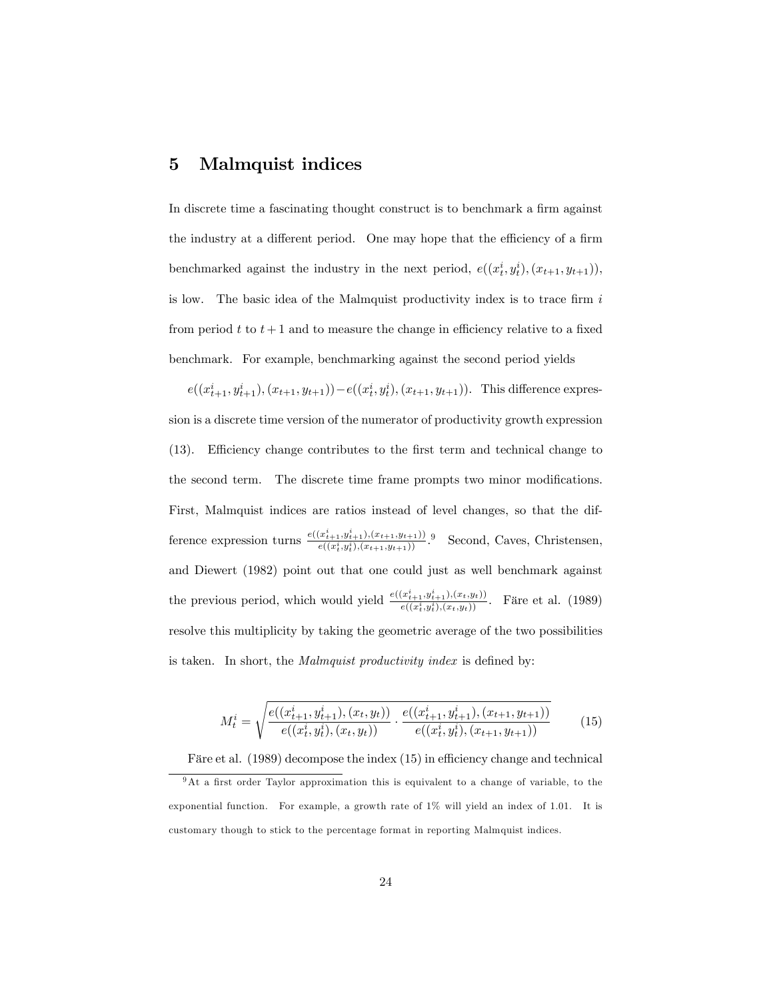#### 5 Malmquist indices

In discrete time a fascinating thought construct is to benchmark a firm against the industry at a different period. One may hope that the efficiency of a firm benchmarked against the industry in the next period,  $e((x_t^i, y_t^i), (x_{t+1}, y_{t+1})),$ is low. The basic idea of the Malmquist productivity index is to trace firm  $i$ from period t to  $t + 1$  and to measure the change in efficiency relative to a fixed benchmark. For example, benchmarking against the second period yields

 $e((x_{t+1}^i, y_{t+1}^i), (x_{t+1}, y_{t+1})) - e((x_t^i, y_t^i), (x_{t+1}, y_{t+1})).$  This difference expression is a discrete time version of the numerator of productivity growth expression  $(13)$ . Efficiency change contributes to the first term and technical change to the second term. The discrete time frame prompts two minor modifications. First, Malmquist indices are ratios instead of level changes, so that the difference expression turns  $\frac{e((x_{t+1}^i, y_{t+1}^i), (x_{t+1}, y_{t+1}))}{e((x_{t+1}^i, y_{t+1}^i), (x_{t+1}, y_{t+1}))}$  $\frac{(x_{i+1}, y_{i+1}), (x_{t+1}, y_{t+1}))}{e((x_i^i, y_i^i), (x_{t+1}, y_{t+1}))}$ . Second, Caves, Christensen, and Diewert (1982) point out that one could just as well benchmark against the previous period, which would yield  $\frac{e((x_{t+1}^i, y_{t+1}^i), (x_t, y_t))}{e((x_{t}^i, y_t^i), (x_t, y_t))}$  $\frac{(x_{t+1},y_{t+1}), (x_t, y_t)}{e((x_t^i, y_t^i), (x_t, y_t))}$ . Färe et al. (1989) resolve this multiplicity by taking the geometric average of the two possibilities is taken. In short, the *Malmquist productivity index* is defined by:

$$
M_t^i = \sqrt{\frac{e((x_{t+1}^i, y_{t+1}^i), (x_t, y_t))}{e((x_t^i, y_t^i), (x_t, y_t))} \cdot \frac{e((x_{t+1}^i, y_{t+1}^i), (x_{t+1}, y_{t+1}))}{e((x_t^i, y_t^i), (x_{t+1}, y_{t+1}))}}
$$
(15)

Färe et al.  $(1989)$  decompose the index  $(15)$  in efficiency change and technical

 $9$ At a first order Taylor approximation this is equivalent to a change of variable, to the exponential function. For example, a growth rate of 1% will yield an index of 1.01. It is customary though to stick to the percentage format in reporting Malmquist indices.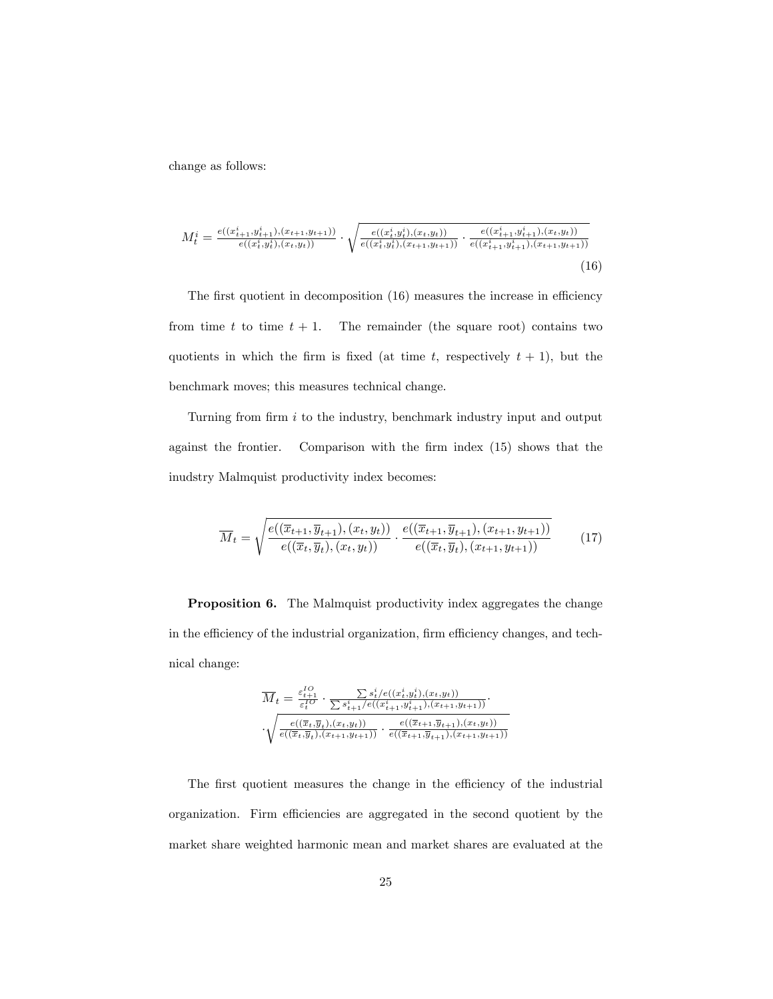change as follows:

$$
M_t^i = \frac{e((x_{t+1}^i, y_{t+1}^i), (x_{t+1}, y_{t+1}))}{e((x_t^i, y_t^i), (x_t, y_t))} \cdot \sqrt{\frac{e((x_t^i, y_t^i), (x_t, y_t))}{e((x_t^i, y_t^i), (x_{t+1}, y_{t+1}))} \cdot \frac{e((x_{t+1}^i, y_{t+1}^i), (x_t, y_t))}{e((x_{t+1}^i, y_{t+1}^i), (x_{t+1}, y_{t+1}))}}
$$
(16)

The first quotient in decomposition  $(16)$  measures the increase in efficiency from time t to time  $t + 1$ . The remainder (the square root) contains two quotients in which the firm is fixed (at time t, respectively  $t + 1$ ), but the benchmark moves; this measures technical change.

Turning from firm  $i$  to the industry, benchmark industry input and output against the frontier. Comparison with the firm index (15) shows that the inudstry Malmquist productivity index becomes:

$$
\overline{M}_t = \sqrt{\frac{e((\overline{x}_{t+1}, \overline{y}_{t+1}), (x_t, y_t))}{e((\overline{x}_t, \overline{y}_t), (x_t, y_t))} \cdot \frac{e((\overline{x}_{t+1}, \overline{y}_{t+1}), (x_{t+1}, y_{t+1}))}{e((\overline{x}_t, \overline{y}_t), (x_{t+1}, y_{t+1}))}}
$$
(17)

Proposition 6. The Malmquist productivity index aggregates the change in the efficiency of the industrial organization, firm efficiency changes, and technical change:

$$
\overline{M}_t = \frac{\varepsilon_{t+1}^{IO}}{\varepsilon_t^{IO}} \cdot \frac{\sum s_t^i / e((x_t^i, y_t^i), (x_t, y_t))}{\sum s_{t+1}^i / e((x_{t+1}^i, y_{t+1}^i), (x_{t+1}, y_{t+1}))} \cdot \cdot \sqrt{\frac{e((\overline{x}_t, \overline{y}_t), (x_t, y_t))}{e((\overline{x}_t, \overline{y}_t), (x_{t+1}, y_{t+1}))} \cdot \frac{e((\overline{x}_{t+1}, \overline{y}_{t+1}), (x_t, y_t))}{e((\overline{x}_{t+1}, \overline{y}_{t+1}), (x_{t+1}, y_{t+1}))}}
$$

The first quotient measures the change in the efficiency of the industrial organization. Firm efficiencies are aggregated in the second quotient by the market share weighted harmonic mean and market shares are evaluated at the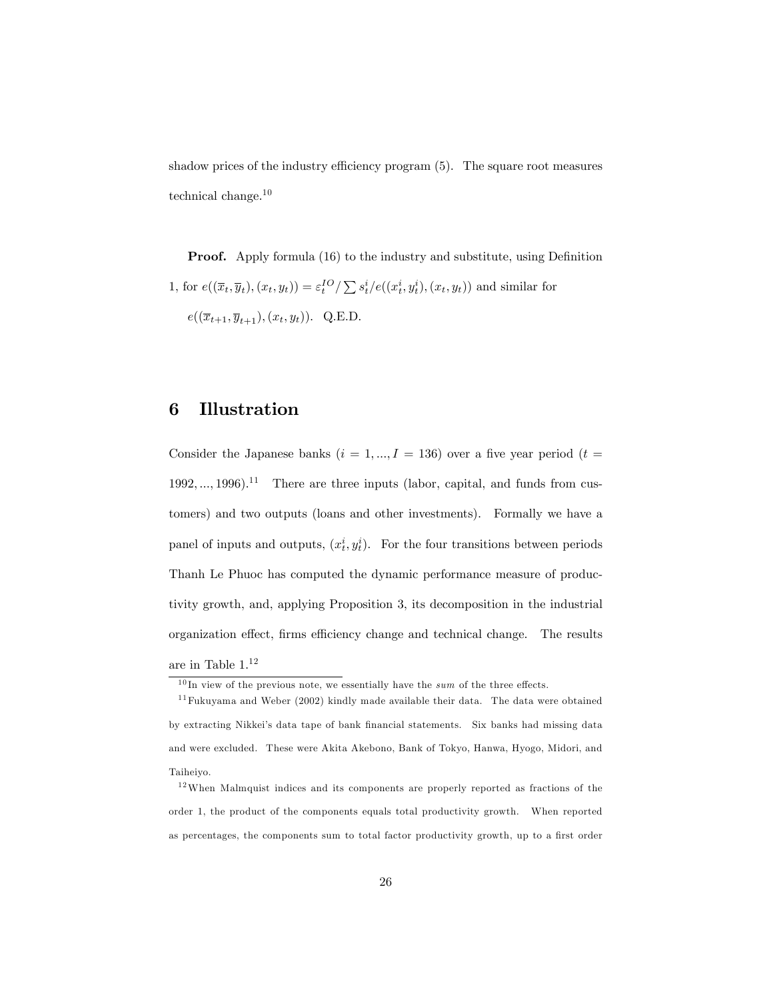shadow prices of the industry efficiency program  $(5)$ . The square root measures technical change.<sup>10</sup>

**Proof.** Apply formula (16) to the industry and substitute, using Definition 1, for  $e((\overline{x}_t, \overline{y}_t), (x_t, y_t)) = \varepsilon_t^{IO} / \sum s_t^i / e((x_t^i, y_t^i), (x_t, y_t))$  and similar for  $e((\overline{x}_{t+1}, \overline{y}_{t+1}), (x_t, y_t)).$  Q.E.D.

#### 6 Illustration

Consider the Japanese banks  $(i = 1, ..., I = 136)$  over a five year period  $(t = 1, ..., I = 136)$  $1992, ..., 1996$ .<sup>11</sup> There are three inputs (labor, capital, and funds from customers) and two outputs (loans and other investments). Formally we have a panel of inputs and outputs,  $(x_t^i, y_t^i)$ . For the four transitions between periods Thanh Le Phuoc has computed the dynamic performance measure of productivity growth, and, applying Proposition 3, its decomposition in the industrial organization effect, firms efficiency change and technical change. The results are in Table  $1.^{\rm 12}$ 

 $10$  In view of the previous note, we essentially have the sum of the three effects.

 $11$  Fukuyama and Weber (2002) kindly made available their data. The data were obtained by extracting Nikkei's data tape of bank financial statements. Six banks had missing data and were excluded. These were Akita Akebono, Bank of Tokyo, Hanwa, Hyogo, Midori, and Taiheiyo.

 $12$ When Malmquist indices and its components are properly reported as fractions of the order 1, the product of the components equals total productivity growth. When reported as percentages, the components sum to total factor productivity growth, up to a first order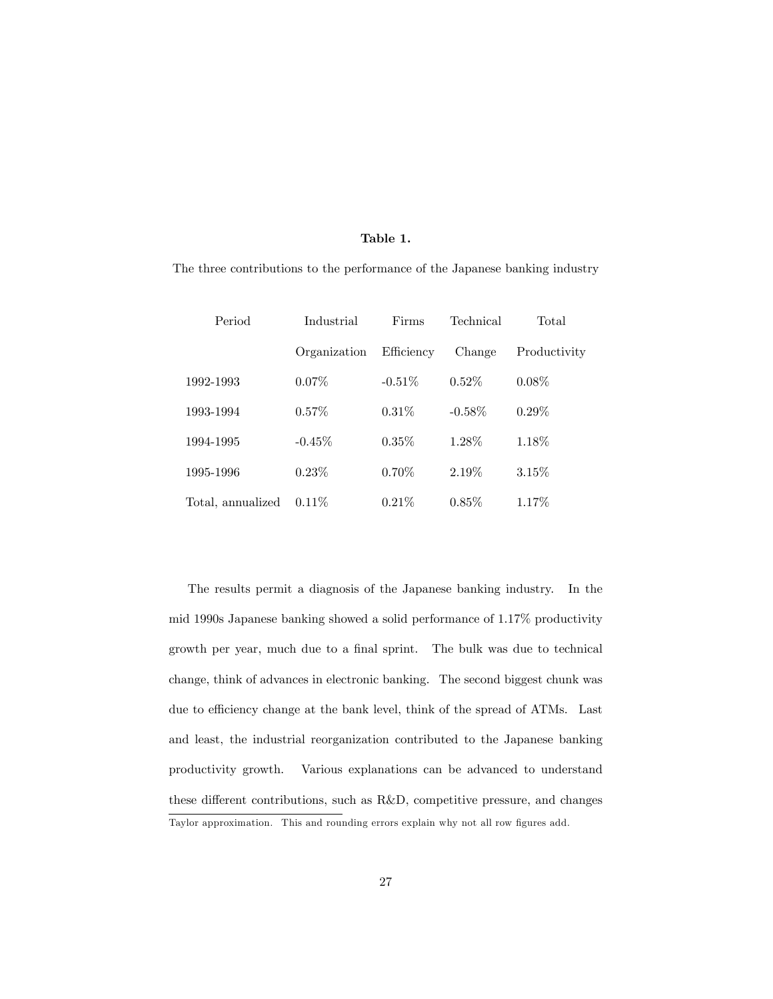#### Table 1.

The three contributions to the performance of the Japanese banking industry

| Period            | Industrial   | Firms      | Technical | Total        |
|-------------------|--------------|------------|-----------|--------------|
|                   | Organization | Efficiency | Change    | Productivity |
| 1992-1993         | $0.07\%$     | $-0.51\%$  | $0.52\%$  | $0.08\%$     |
| 1993-1994         | 0.57%        | $0.31\%$   | $-0.58\%$ | $0.29\%$     |
| 1994-1995         | $-0.45\%$    | $0.35\%$   | 1.28%     | 1.18%        |
| 1995-1996         | $0.23\%$     | $0.70\%$   | 2.19%     | $3.15\%$     |
| Total, annualized | $0.11\%$     | 0.21%      | $0.85\%$  | 1.17\%       |

The results permit a diagnosis of the Japanese banking industry. In the mid 1990s Japanese banking showed a solid performance of 1.17% productivity growth per year, much due to a final sprint. The bulk was due to technical change, think of advances in electronic banking. The second biggest chunk was due to efficiency change at the bank level, think of the spread of ATMs. Last and least, the industrial reorganization contributed to the Japanese banking productivity growth. Various explanations can be advanced to understand these different contributions, such as  $R&D$ , competitive pressure, and changes Taylor approximation. This and rounding errors explain why not all row figures add.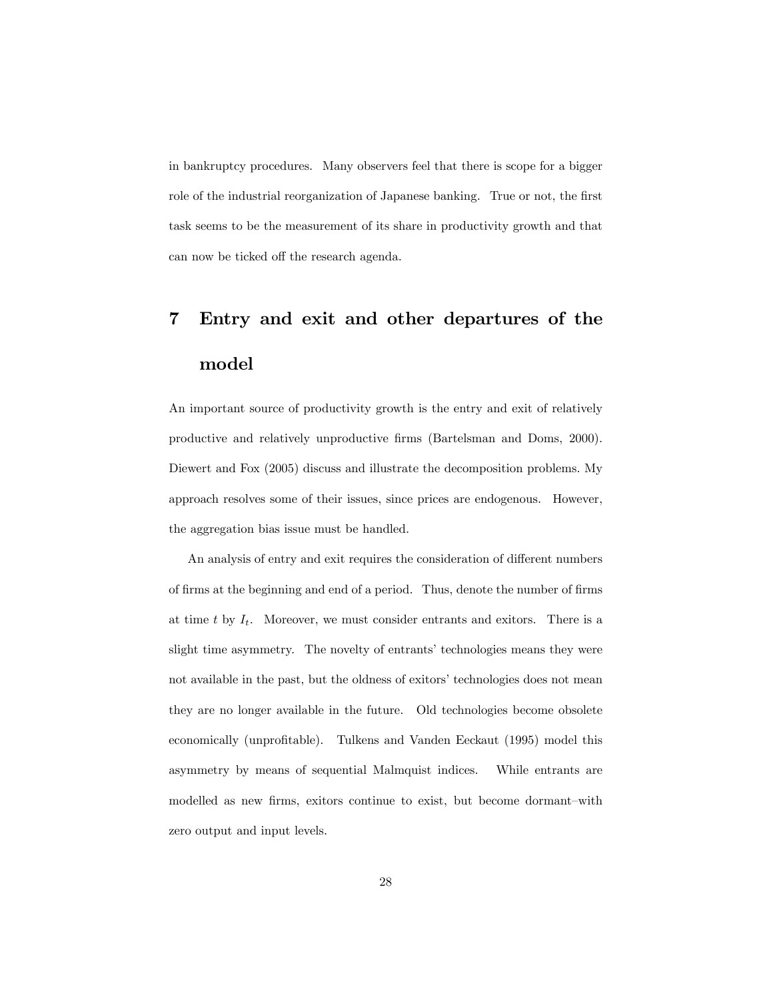in bankruptcy procedures. Many observers feel that there is scope for a bigger role of the industrial reorganization of Japanese banking. True or not, the first task seems to be the measurement of its share in productivity growth and that can now be ticked off the research agenda.

## 7 Entry and exit and other departures of the model

An important source of productivity growth is the entry and exit of relatively productive and relatively unproductive Örms (Bartelsman and Doms, 2000). Diewert and Fox (2005) discuss and illustrate the decomposition problems. My approach resolves some of their issues, since prices are endogenous. However, the aggregation bias issue must be handled.

An analysis of entry and exit requires the consideration of different numbers of firms at the beginning and end of a period. Thus, denote the number of firms at time t by  $I_t$ . Moreover, we must consider entrants and exitors. There is a slight time asymmetry. The novelty of entrants' technologies means they were not available in the past, but the oldness of exitors' technologies does not mean they are no longer available in the future. Old technologies become obsolete economically (unprofitable). Tulkens and Vanden Eeckaut (1995) model this asymmetry by means of sequential Malmquist indices. While entrants are modelled as new firms, exitors continue to exist, but become dormant-with zero output and input levels.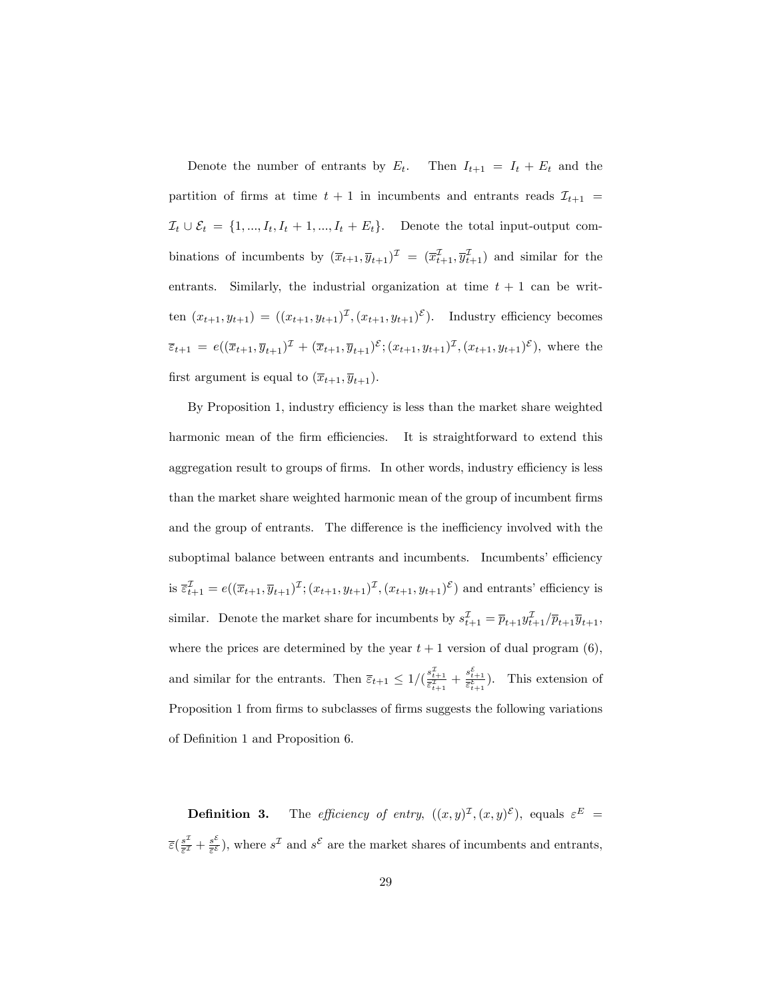Denote the number of entrants by  $E_t$ . Then  $I_{t+1} = I_t + E_t$  and the partition of firms at time  $t + 1$  in incumbents and entrants reads  $\mathcal{I}_{t+1}$  =  $\mathcal{I}_t \cup \mathcal{E}_t = \{1, ..., I_t, I_t + 1, ..., I_t + E_t\}.$  Denote the total input-output combinations of incumbents by  $(\overline{x}_{t+1}, \overline{y}_{t+1})^{\perp} = (\overline{x}_{t+1}^{\perp}, \overline{y}_{t+1}^{\perp})$  and similar for the entrants. Similarly, the industrial organization at time  $t + 1$  can be written  $(x_{t+1}, y_{t+1}) = ((x_{t+1}, y_{t+1})^{\mathcal{I}}, (x_{t+1}, y_{t+1})^{\mathcal{E}})$ . Industry efficiency becomes  $\overline{\varepsilon}_{t+1} = e((\overline{x}_{t+1}, \overline{y}_{t+1})^2 + (\overline{x}_{t+1}, \overline{y}_{t+1})^{\varepsilon}; (x_{t+1}, y_{t+1})^2, (x_{t+1}, y_{t+1})^{\varepsilon}),$  where the first argument is equal to  $(\overline{x}_{t+1}, \overline{y}_{t+1}).$ 

By Proposition 1, industry efficiency is less than the market share weighted harmonic mean of the firm efficiencies. It is straightforward to extend this aggregation result to groups of firms. In other words, industry efficiency is less than the market share weighted harmonic mean of the group of incumbent firms and the group of entrants. The difference is the inefficiency involved with the suboptimal balance between entrants and incumbents. Incumbents' efficiency is  $\bar{\epsilon}_{t+1}^{\mathcal{I}} = e((\bar{x}_{t+1}, \bar{y}_{t+1})^{\mathcal{I}}; (x_{t+1}, y_{t+1})^{\mathcal{I}}, (x_{t+1}, y_{t+1})^{\mathcal{E}})$  and entrants' efficiency is similar. Denote the market share for incumbents by  $s_{t+1}^2 = \overline{p}_{t+1} y_{t+1}^2 / \overline{p}_{t+1} \overline{y}_{t+1}$ , where the prices are determined by the year  $t + 1$  version of dual program (6), and similar for the entrants. Then  $\overline{\varepsilon}_{t+1} \leq 1/(\frac{s_{t+1}^2}{\overline{\varepsilon}_{t+1}^2} + \frac{s_{t+1}^2}{\overline{\varepsilon}_{t+1}^2})$ . This extension of Proposition 1 from firms to subclasses of firms suggests the following variations of DeÖnition 1 and Proposition 6.

**Definition 3.** The *efficiency of entry*,  $((x,y)^{\mathcal{I}},(x,y)^{\mathcal{E}})$ , equals  $\varepsilon^E$  =  $\bar{\epsilon}(\frac{s^2}{\bar{\epsilon}^2}+\frac{s^2}{\bar{\epsilon}^2})$ , where  $s^{\mathcal{I}}$  and  $s^{\mathcal{E}}$  are the market shares of incumbents and entrants,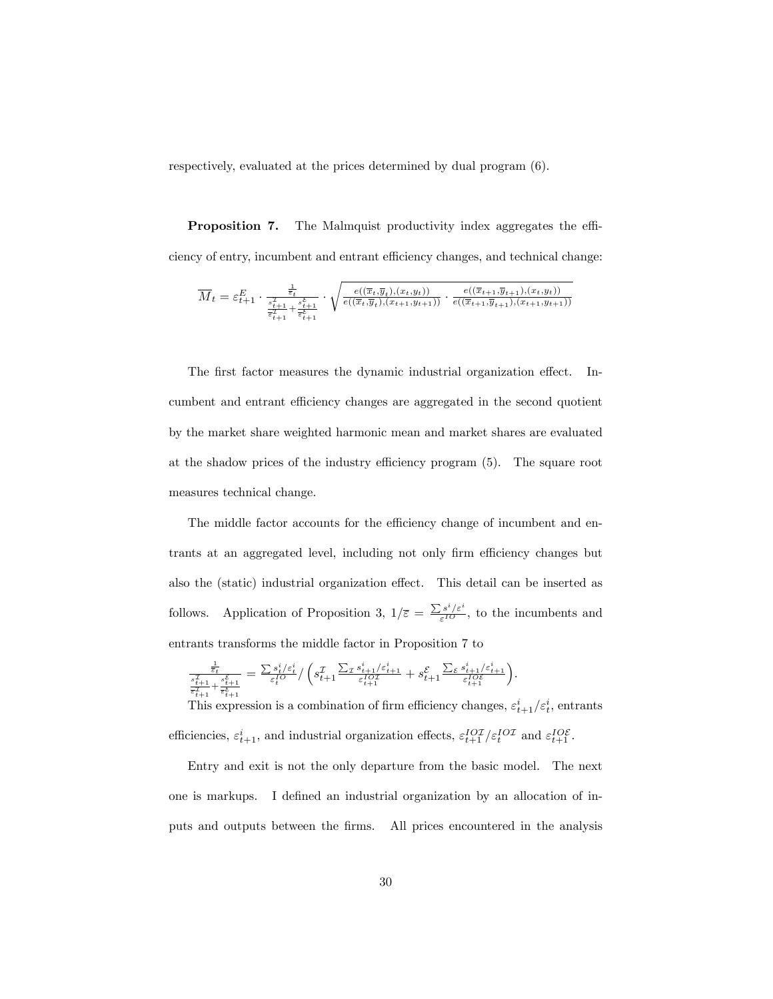respectively, evaluated at the prices determined by dual program (6).

**Proposition 7.** The Malmquist productivity index aggregates the efficiency of entry, incumbent and entrant efficiency changes, and technical change:

$$
\overline{M}_t = \varepsilon_{t+1}^{E} \cdot \frac{\frac{1}{\varepsilon_t}}{\frac{x_{t+1}}{\varepsilon_{t+1}^2} + \frac{s_{t+1}^{\varepsilon}}{\varepsilon_{t+1}^{\varepsilon}}}\cdot \sqrt{\frac{e((\overline{x}_t, \overline{y}_t), (x_t, y_t))}{e((\overline{x}_t, \overline{y}_t), (x_{t+1}, y_{t+1}))} \cdot \frac{e((\overline{x}_{t+1}, \overline{y}_{t+1}), (x_t, y_t))}{e((\overline{x}_{t+1}, \overline{y}_{t+1}), (x_{t+1}, y_{t+1}))}}
$$

The first factor measures the dynamic industrial organization effect. Incumbent and entrant efficiency changes are aggregated in the second quotient by the market share weighted harmonic mean and market shares are evaluated at the shadow prices of the industry efficiency program  $(5)$ . The square root measures technical change.

The middle factor accounts for the efficiency change of incumbent and entrants at an aggregated level, including not only firm efficiency changes but also the (static) industrial organization effect. This detail can be inserted as follows. Application of Proposition 3,  $1/\overline{\varepsilon} = \frac{\sum s^i/\varepsilon^i}{\varepsilon^{10}}$  $\frac{1}{\varepsilon^{IO}}$ , to the incumbents and entrants transforms the middle factor in Proposition 7 to

$$
\tfrac{\frac{1}{\varepsilon_t}}{\frac{s_{t+1}^x}{\varepsilon_{t+1}^x} + \frac{s_{t+1}^\varepsilon}{\varepsilon_t^\varepsilon}} = \tfrac{\sum s_t^i/\varepsilon_t^i}{\varepsilon_t^{IO}} / \left( s_{t+1}^\mathcal{I} \tfrac{\sum_\mathcal{I} s_{t+1}^i/\varepsilon_{t+1}^i}{\varepsilon_{t+1}^{IO^\mathcal{I}}} + s_{t+1}^\mathcal{E} \tfrac{\sum_\mathcal{E} s_{t+1}^i/\varepsilon_{t+1}^i}{\varepsilon_{t+1}^{IO^\mathcal{E}}} \right) .
$$

This expression is a combination of firm efficiency changes,  $\varepsilon_{t+1}^i/\varepsilon_t^i$ , entrants efficiencies,  $\varepsilon_{t+1}^i$ , and industrial organization effects,  $\varepsilon_{t+1}^{IOI}/\varepsilon_t^{IOI}$  and  $\varepsilon_{t+1}^{IOE}$ .

Entry and exit is not the only departure from the basic model. The next one is markups. I defined an industrial organization by an allocation of inputs and outputs between the firms. All prices encountered in the analysis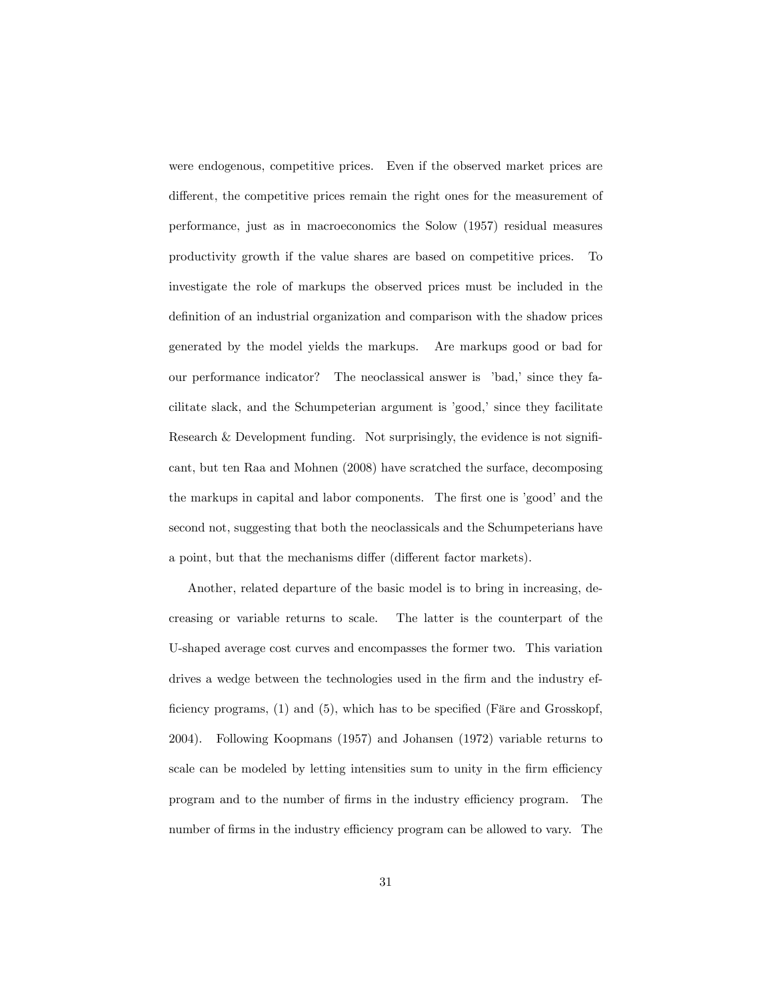were endogenous, competitive prices. Even if the observed market prices are different, the competitive prices remain the right ones for the measurement of performance, just as in macroeconomics the Solow (1957) residual measures productivity growth if the value shares are based on competitive prices. To investigate the role of markups the observed prices must be included in the definition of an industrial organization and comparison with the shadow prices generated by the model yields the markups. Are markups good or bad for our performance indicator? The neoclassical answer is 'bad,' since they facilitate slack, and the Schumpeterian argument is 'good,' since they facilitate Research  $&$  Development funding. Not surprisingly, the evidence is not significant, but ten Raa and Mohnen (2008) have scratched the surface, decomposing the markups in capital and labor components. The first one is 'good' and the second not, suggesting that both the neoclassicals and the Schumpeterians have a point, but that the mechanisms differ (different factor markets).

Another, related departure of the basic model is to bring in increasing, decreasing or variable returns to scale. The latter is the counterpart of the U-shaped average cost curves and encompasses the former two. This variation drives a wedge between the technologies used in the firm and the industry efficiency programs,  $(1)$  and  $(5)$ , which has to be specified (Färe and Grosskopf, 2004). Following Koopmans (1957) and Johansen (1972) variable returns to scale can be modeled by letting intensities sum to unity in the firm efficiency program and to the number of Örms in the industry e¢ ciency program. The number of firms in the industry efficiency program can be allowed to vary. The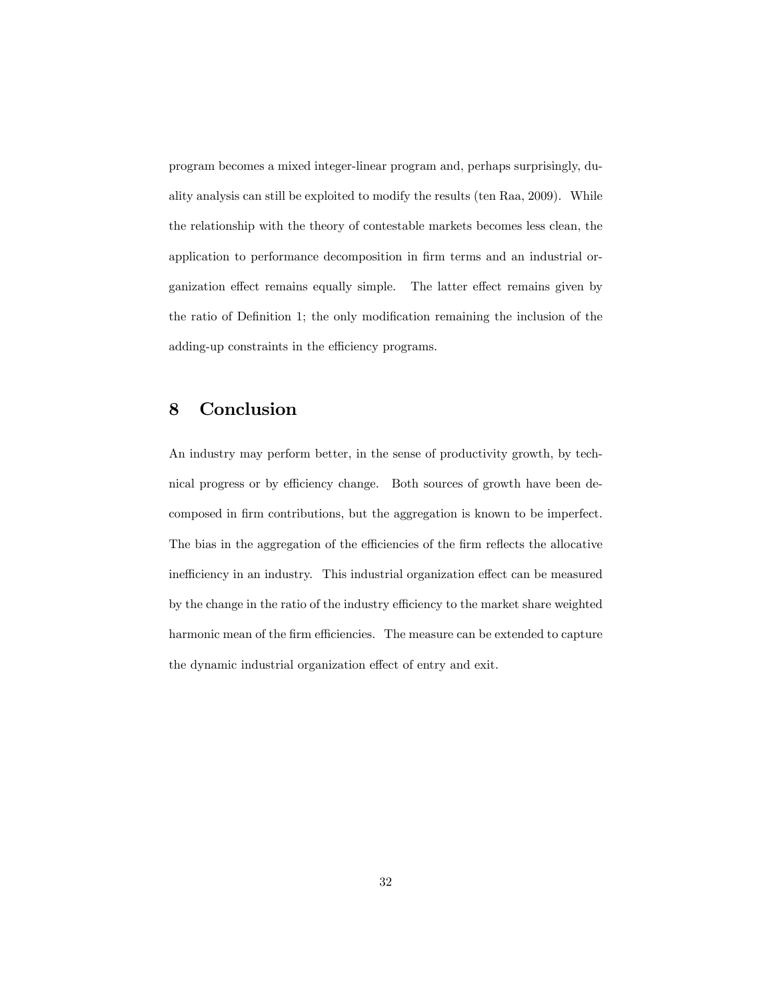program becomes a mixed integer-linear program and, perhaps surprisingly, duality analysis can still be exploited to modify the results (ten Raa, 2009). While the relationship with the theory of contestable markets becomes less clean, the application to performance decomposition in firm terms and an industrial organization effect remains equally simple. The latter effect remains given by the ratio of Definition 1; the only modification remaining the inclusion of the adding-up constraints in the efficiency programs.

### 8 Conclusion

An industry may perform better, in the sense of productivity growth, by technical progress or by efficiency change. Both sources of growth have been decomposed in firm contributions, but the aggregation is known to be imperfect. The bias in the aggregation of the efficiencies of the firm reflects the allocative inefficiency in an industry. This industrial organization effect can be measured by the change in the ratio of the industry efficiency to the market share weighted harmonic mean of the firm efficiencies. The measure can be extended to capture the dynamic industrial organization effect of entry and exit.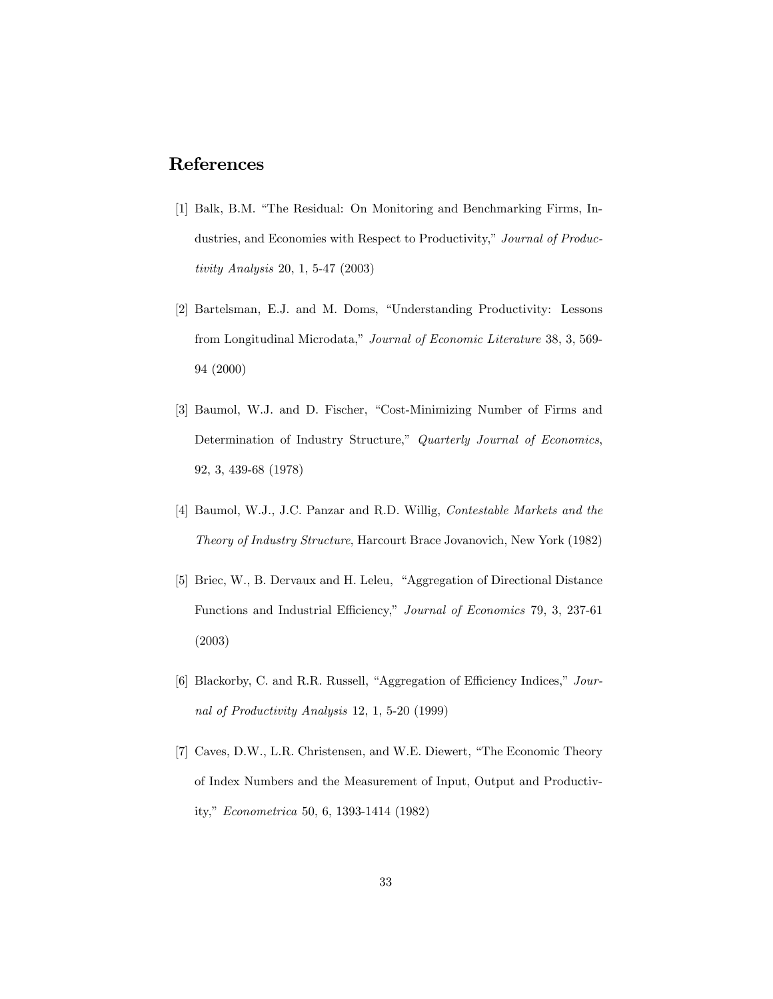### References

- [1] Balk, B.M. "The Residual: On Monitoring and Benchmarking Firms, Industries, and Economies with Respect to Productivity," Journal of Productivity Analysis 20, 1, 5-47 (2003)
- [2] Bartelsman, E.J. and M. Doms, "Understanding Productivity: Lessons from Longitudinal Microdata," Journal of Economic Literature 38, 3, 569-94 (2000)
- [3] Baumol, W.J. and D. Fischer, "Cost-Minimizing Number of Firms and Determination of Industry Structure," Quarterly Journal of Economics, 92, 3, 439-68 (1978)
- [4] Baumol, W.J., J.C. Panzar and R.D. Willig, Contestable Markets and the Theory of Industry Structure, Harcourt Brace Jovanovich, New York (1982)
- [5] Briec, W., B. Dervaux and H. Leleu, "Aggregation of Directional Distance Functions and Industrial Efficiency," Journal of Economics 79, 3, 237-61 (2003)
- [6] Blackorby, C. and R.R. Russell, "Aggregation of Efficiency Indices,"  $Jour$ nal of Productivity Analysis 12, 1, 5-20 (1999)
- [7] Caves, D.W., L.R. Christensen, and W.E. Diewert, "The Economic Theory of Index Numbers and the Measurement of Input, Output and Productivity," Econometrica 50, 6, 1393-1414 (1982)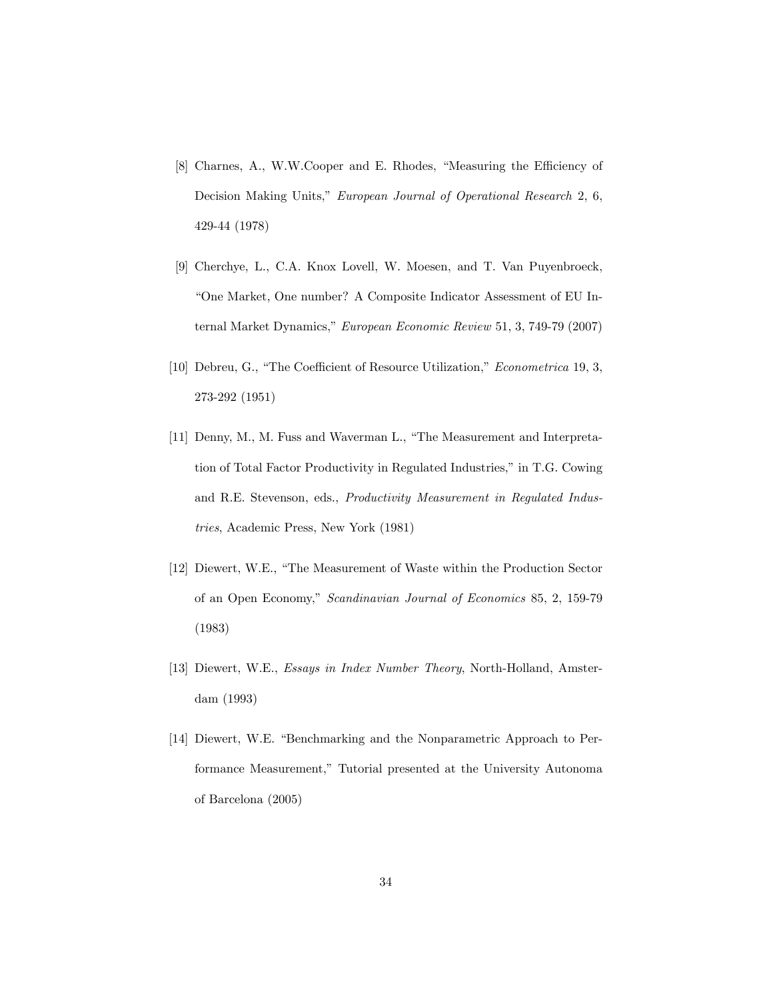- [8] Charnes, A., W.W.Cooper and E. Rhodes, "Measuring the Efficiency of Decision Making Units," European Journal of Operational Research 2, 6, 429-44 (1978)
- [9] Cherchye, L., C.A. Knox Lovell, W. Moesen, and T. Van Puyenbroeck, ìOne Market, One number? A Composite Indicator Assessment of EU Internal Market Dynamics," European Economic Review 51, 3, 749-79 (2007)
- [10] Debreu, G., "The Coefficient of Resource Utilization," Econometrica 19, 3, 273-292 (1951)
- [11] Denny, M., M. Fuss and Waverman L., "The Measurement and Interpretation of Total Factor Productivity in Regulated Industries," in T.G. Cowing and R.E. Stevenson, eds., Productivity Measurement in Regulated Industries, Academic Press, New York (1981)
- [12] Diewert, W.E., "The Measurement of Waste within the Production Sector of an Open Economy," Scandinavian Journal of Economics 85, 2, 159-79 (1983)
- [13] Diewert, W.E., Essays in Index Number Theory, North-Holland, Amsterdam (1993)
- [14] Diewert, W.E. "Benchmarking and the Nonparametric Approach to Performance Measurement," Tutorial presented at the University Autonoma of Barcelona (2005)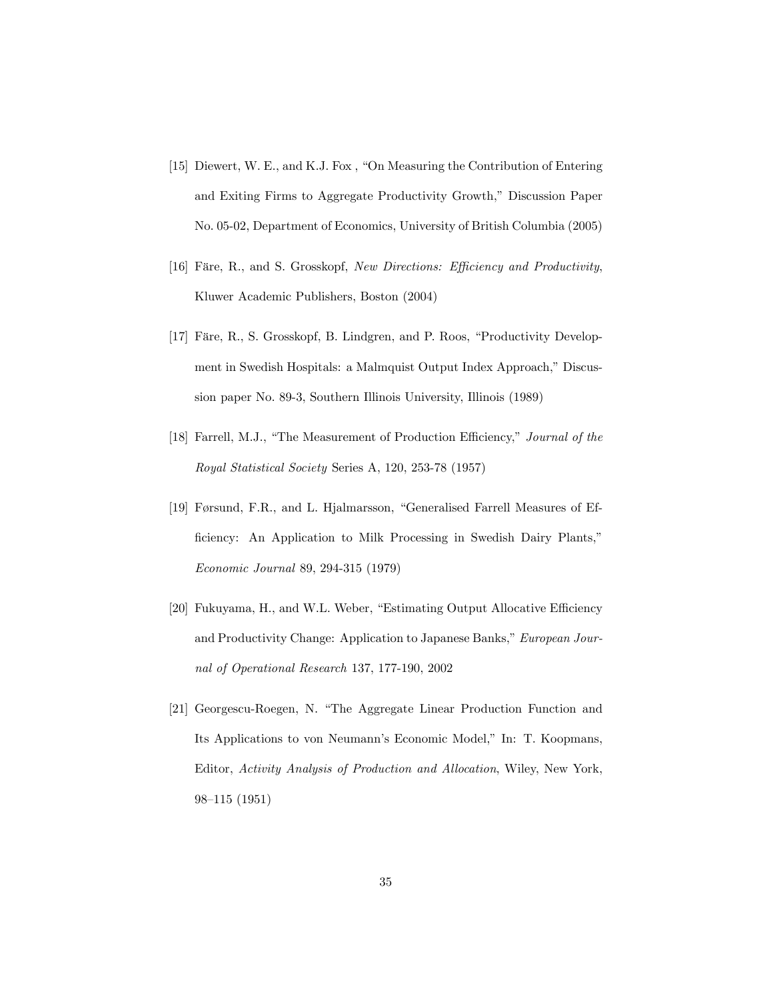- [15] Diewert, W. E., and K.J. Fox, "On Measuring the Contribution of Entering and Exiting Firms to Aggregate Productivity Growth," Discussion Paper No. 05-02, Department of Economics, University of British Columbia (2005)
- [16] Färe, R., and S. Grosskopf, New Directions: Efficiency and Productivity, Kluwer Academic Publishers, Boston (2004)
- [17] Färe, R., S. Grosskopf, B. Lindgren, and P. Roos, "Productivity Development in Swedish Hospitals: a Malmquist Output Index Approach," Discussion paper No. 89-3, Southern Illinois University, Illinois (1989)
- [18] Farrell, M.J., "The Measurement of Production Efficiency," Journal of the Royal Statistical Society Series A, 120, 253-78 (1957)
- [19] Førsund, F.R., and L. Hjalmarsson, "Generalised Farrell Measures of Efficiency: An Application to Milk Processing in Swedish Dairy Plants," Economic Journal 89, 294-315 (1979)
- [20] Fukuyama, H., and W.L. Weber, "Estimating Output Allocative Efficiency and Productivity Change: Application to Japanese Banks," European Journal of Operational Research 137, 177-190, 2002
- [21] Georgescu-Roegen, N. "The Aggregate Linear Production Function and Its Applications to von Neumann's Economic Model," In: T. Koopmans, Editor, Activity Analysis of Production and Allocation, Wiley, New York, 98–115 (1951)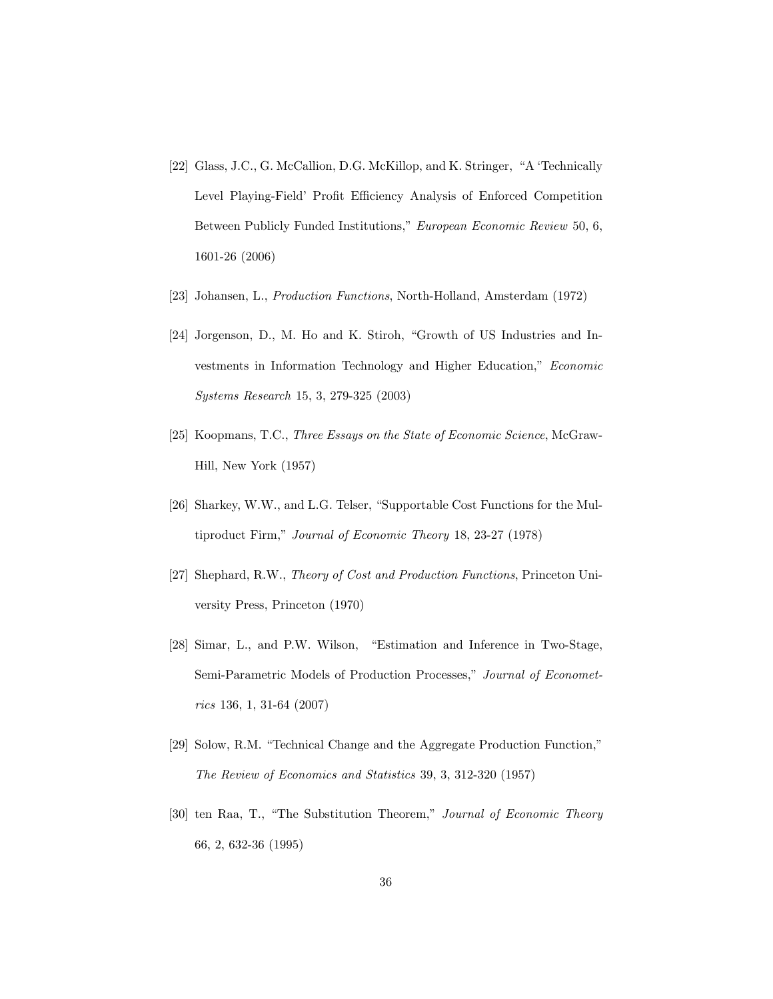- [22] Glass, J.C., G. McCallion, D.G. McKillop, and K. Stringer, "A 'Technically Level Playing-Field' Profit Efficiency Analysis of Enforced Competition Between Publicly Funded Institutions," European Economic Review 50, 6, 1601-26 (2006)
- [23] Johansen, L., Production Functions, North-Holland, Amsterdam (1972)
- $[24]$  Jorgenson, D., M. Ho and K. Stiroh, "Growth of US Industries and Investments in Information Technology and Higher Education," Economic Systems Research 15, 3, 279-325 (2003)
- [25] Koopmans, T.C., Three Essays on the State of Economic Science, McGraw-Hill, New York (1957)
- [26] Sharkey, W.W., and L.G. Telser, "Supportable Cost Functions for the Multiproduct Firm," Journal of Economic Theory 18, 23-27 (1978)
- [27] Shephard, R.W., Theory of Cost and Production Functions, Princeton University Press, Princeton (1970)
- [28] Simar, L., and P.W. Wilson, "Estimation and Inference in Two-Stage, Semi-Parametric Models of Production Processes," Journal of Econometrics 136, 1, 31-64 (2007)
- [29] Solow, R.M. "Technical Change and the Aggregate Production Function," The Review of Economics and Statistics 39, 3, 312-320 (1957)
- [30] ten Raa, T., "The Substitution Theorem," Journal of Economic Theory 66, 2, 632-36 (1995)